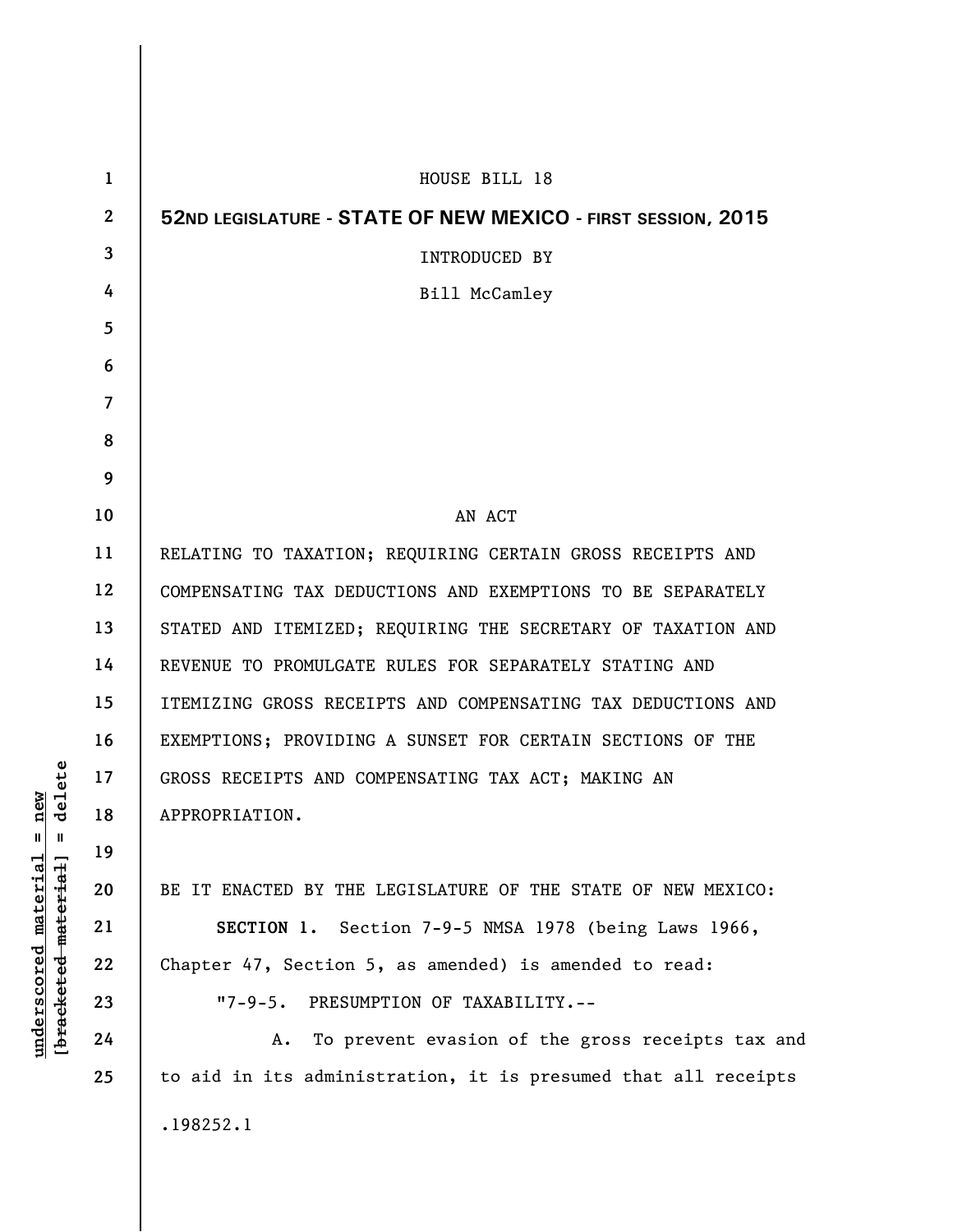| $\mathbf{1}$ | HOUSE BILL 18                                                  |  |  |  |
|--------------|----------------------------------------------------------------|--|--|--|
| $\mathbf{2}$ | 52ND LEGISLATURE - STATE OF NEW MEXICO - FIRST SESSION, 2015   |  |  |  |
| 3            | INTRODUCED BY                                                  |  |  |  |
| 4            | Bill McCamley                                                  |  |  |  |
| 5            |                                                                |  |  |  |
| 6            |                                                                |  |  |  |
| 7            |                                                                |  |  |  |
| 8            |                                                                |  |  |  |
| 9            |                                                                |  |  |  |
| 10           | AN ACT                                                         |  |  |  |
| 11           | RELATING TO TAXATION; REQUIRING CERTAIN GROSS RECEIPTS AND     |  |  |  |
| 12           | COMPENSATING TAX DEDUCTIONS AND EXEMPTIONS TO BE SEPARATELY    |  |  |  |
| 13           | STATED AND ITEMIZED; REQUIRING THE SECRETARY OF TAXATION AND   |  |  |  |
| 14           | REVENUE TO PROMULGATE RULES FOR SEPARATELY STATING AND         |  |  |  |
| 15           | ITEMIZING GROSS RECEIPTS AND COMPENSATING TAX DEDUCTIONS AND   |  |  |  |
| 16           | EXEMPTIONS; PROVIDING A SUNSET FOR CERTAIN SECTIONS OF THE     |  |  |  |
| 17           | GROSS RECEIPTS AND COMPENSATING TAX ACT; MAKING AN             |  |  |  |
| 18           | APPROPRIATION.                                                 |  |  |  |
| 19           |                                                                |  |  |  |
| 20           | BE IT ENACTED BY THE LEGISLATURE OF THE STATE OF NEW MEXICO:   |  |  |  |
| 21           | SECTION 1. Section 7-9-5 NMSA 1978 (being Laws 1966,           |  |  |  |
| 22           | Chapter 47, Section 5, as amended) is amended to read:         |  |  |  |
| 23           | "7-9-5. PRESUMPTION OF TAXABILITY.--                           |  |  |  |
| 24           | To prevent evasion of the gross receipts tax and<br>А.         |  |  |  |
| 25           | to aid in its administration, it is presumed that all receipts |  |  |  |
|              | .198252.1                                                      |  |  |  |
|              |                                                                |  |  |  |

 $[**bracket eted metert et**] = **del et e**$ **[bracketed material] = delete**  $underscored material = new$ **underscored material = new**

 $\mathbf{I}$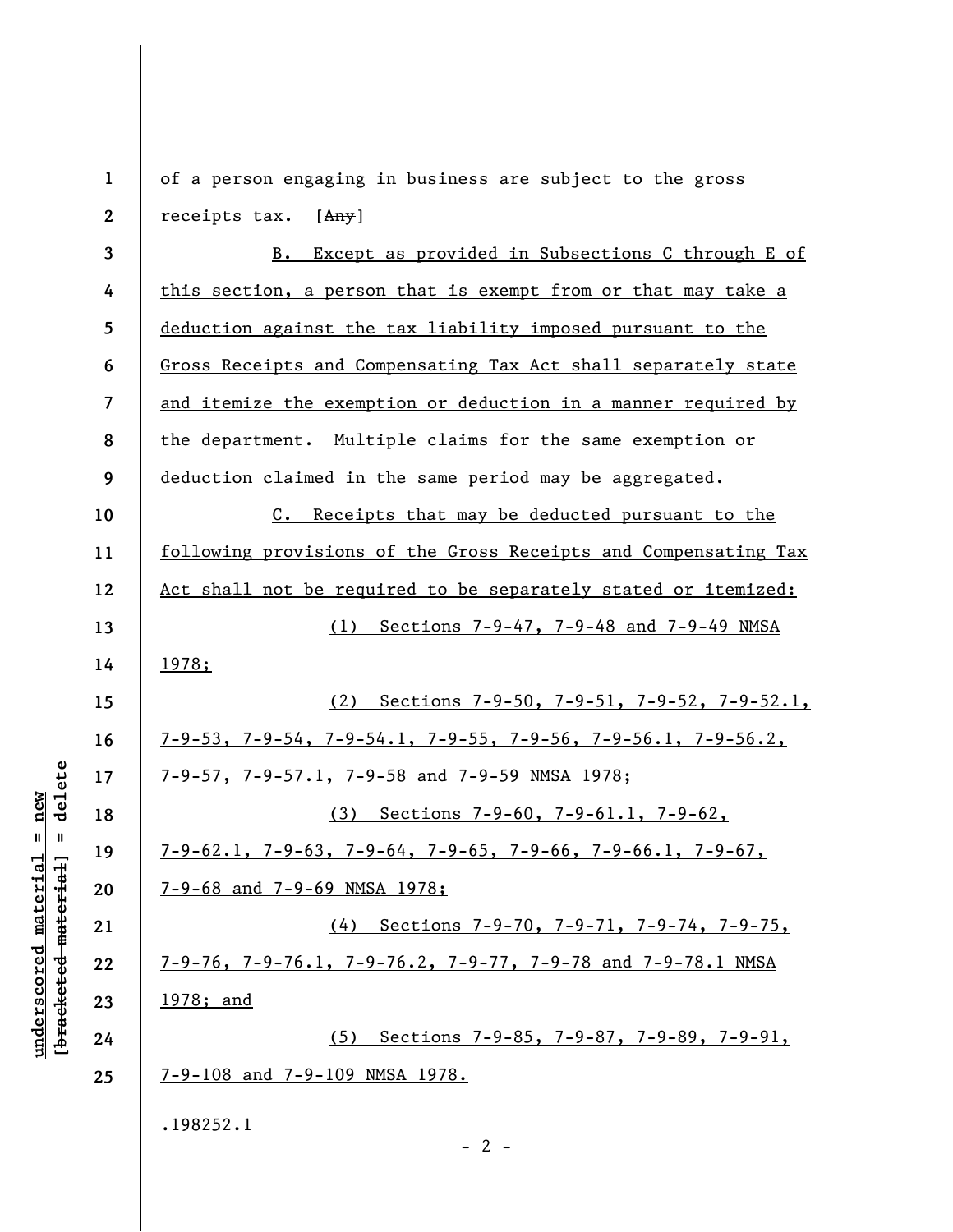**1 2 3 4 5 6 7 8 9 10 11 12 13 14 15 16 17 18 19 20 21 22 23 24 25**  of a person engaging in business are subject to the gross receipts tax.  $[Any]$ B. Except as provided in Subsections C through E of this section, a person that is exempt from or that may take a deduction against the tax liability imposed pursuant to the Gross Receipts and Compensating Tax Act shall separately state and itemize the exemption or deduction in a manner required by the department. Multiple claims for the same exemption or deduction claimed in the same period may be aggregated. C. Receipts that may be deducted pursuant to the following provisions of the Gross Receipts and Compensating Tax Act shall not be required to be separately stated or itemized: (1) Sections 7-9-47, 7-9-48 and 7-9-49 NMSA 1978; (2) Sections 7-9-50, 7-9-51, 7-9-52, 7-9-52.1, 7-9-53, 7-9-54, 7-9-54.1, 7-9-55, 7-9-56, 7-9-56.1, 7-9-56.2, 7-9-57, 7-9-57.1, 7-9-58 and 7-9-59 NMSA 1978; (3) Sections 7-9-60, 7-9-61.1, 7-9-62, 7-9-62.1, 7-9-63, 7-9-64, 7-9-65, 7-9-66, 7-9-66.1, 7-9-67, 7-9-68 and 7-9-69 NMSA 1978; (4) Sections 7-9-70, 7-9-71, 7-9-74, 7-9-75, 7-9-76, 7-9-76.1, 7-9-76.2, 7-9-77, 7-9-78 and 7-9-78.1 NMSA 1978; and (5) Sections 7-9-85, 7-9-87, 7-9-89, 7-9-91, 7-9-108 and 7-9-109 NMSA 1978. .198252.1  $- 2 -$ 

delete **[bracketed material] = delete** inderscored material = new **underscored material = new**  $\mathbf{I}$ bracketed material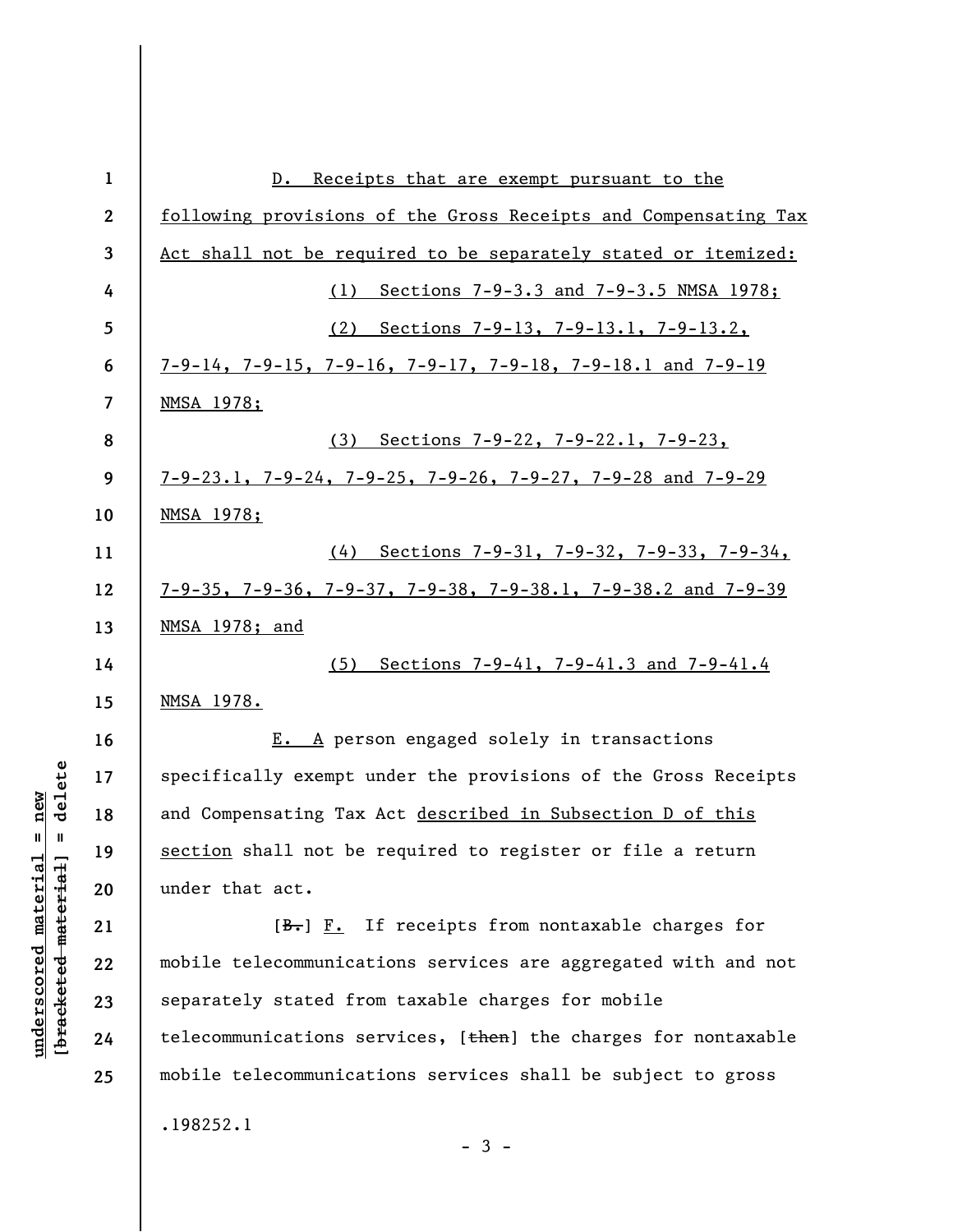| $\mathbf{1}$            | Receipts that are exempt pursuant to the<br>$D$ .                                |  |  |  |
|-------------------------|----------------------------------------------------------------------------------|--|--|--|
| $\boldsymbol{2}$        | following provisions of the Gross Receipts and Compensating Tax                  |  |  |  |
| 3                       | Act shall not be required to be separately stated or itemized:                   |  |  |  |
| 4                       | Sections 7-9-3.3 and 7-9-3.5 NMSA 1978;<br>(1)                                   |  |  |  |
| 5                       | (2) Sections 7-9-13, 7-9-13.1, 7-9-13.2,                                         |  |  |  |
| 6                       | $7-9-14$ , $7-9-15$ , $7-9-16$ , $7-9-17$ , $7-9-18$ , $7-9-18$ . and $7-9-19$   |  |  |  |
| $\overline{\mathbf{z}}$ | <u>NMSA 1978;</u>                                                                |  |  |  |
| 8                       | (3) Sections 7-9-22, 7-9-22.1, 7-9-23,                                           |  |  |  |
| 9                       | $7-9-23.1$ , $7-9-24$ , $7-9-25$ , $7-9-26$ , $7-9-27$ , $7-9-28$ and $7-9-29$   |  |  |  |
| 10                      | <u>NMSA 1978;</u>                                                                |  |  |  |
| 11                      | (4) Sections 7-9-31, 7-9-32, 7-9-33, 7-9-34,                                     |  |  |  |
| 12                      | $7-9-35$ , $7-9-36$ , $7-9-37$ , $7-9-38$ , $7-9-38.1$ , $7-9-38.2$ and $7-9-39$ |  |  |  |
| 13                      | <u>NMSA 1978; and</u>                                                            |  |  |  |
| 14                      | (5) Sections 7-9-41, 7-9-41.3 and 7-9-41.4                                       |  |  |  |
| 15                      | <u>NMSA 1978.</u>                                                                |  |  |  |
| 16                      | E. A person engaged solely in transactions                                       |  |  |  |
| 17                      | specifically exempt under the provisions of the Gross Receipts                   |  |  |  |
| 18                      | and Compensating Tax Act described in Subsection D of this                       |  |  |  |
| 19                      | section shall not be required to register or file a return                       |  |  |  |
| 20                      | under that act.                                                                  |  |  |  |
| 21                      | $[\frac{B}{c}, \frac{F}{c}]$ . If receipts from nontaxable charges for           |  |  |  |
| 22                      | mobile telecommunications services are aggregated with and not                   |  |  |  |
| 23                      | separately stated from taxable charges for mobile                                |  |  |  |
| 24                      | telecommunications services, [then] the charges for nontaxable                   |  |  |  |
| 25                      | mobile telecommunications services shall be subject to gross                     |  |  |  |
|                         | .198252.1                                                                        |  |  |  |
|                         |                                                                                  |  |  |  |

 $[bracketeed-materiat] = delete$ **[bracketed material] = delete**  $underscored material = new$ **underscored material = new**

- 3 -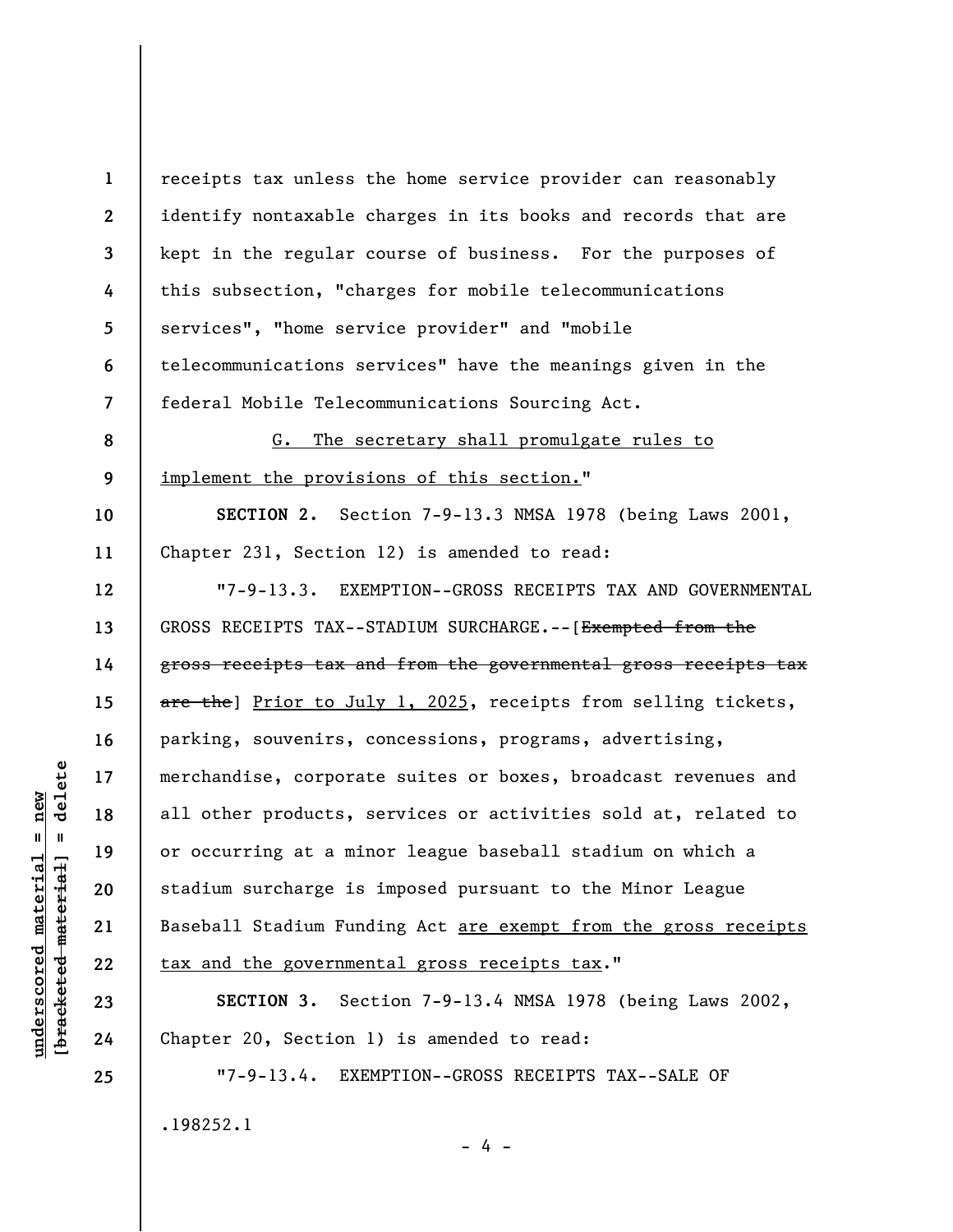**1 2 3 4 5 6 7 8 9 10 11 12 13 14 15 16 17 18 19 20 21 22 23 24 25**  receipts tax unless the home service provider can reasonably identify nontaxable charges in its books and records that are kept in the regular course of business. For the purposes of this subsection, "charges for mobile telecommunications services", "home service provider" and "mobile telecommunications services" have the meanings given in the federal Mobile Telecommunications Sourcing Act. G. The secretary shall promulgate rules to implement the provisions of this section." **SECTION 2.** Section 7-9-13.3 NMSA 1978 (being Laws 2001, Chapter 231, Section 12) is amended to read: "7-9-13.3. EXEMPTION--GROSS RECEIPTS TAX AND GOVERNMENTAL GROSS RECEIPTS TAX--STADIUM SURCHARGE.--[Exempted from the gross receipts tax and from the governmental gross receipts tax are the] Prior to July 1, 2025, receipts from selling tickets, parking, souvenirs, concessions, programs, advertising, merchandise, corporate suites or boxes, broadcast revenues and all other products, services or activities sold at, related to or occurring at a minor league baseball stadium on which a stadium surcharge is imposed pursuant to the Minor League Baseball Stadium Funding Act are exempt from the gross receipts tax and the governmental gross receipts tax." **SECTION 3.** Section 7-9-13.4 NMSA 1978 (being Laws 2002, Chapter 20, Section 1) is amended to read: "7-9-13.4. EXEMPTION--GROSS RECEIPTS TAX--SALE OF

- 4 -

.198252.1

delete **[bracketed material] = delete**  $underscored material = new$ **underscored material = new**  $\mathbf{I}$ bracketed material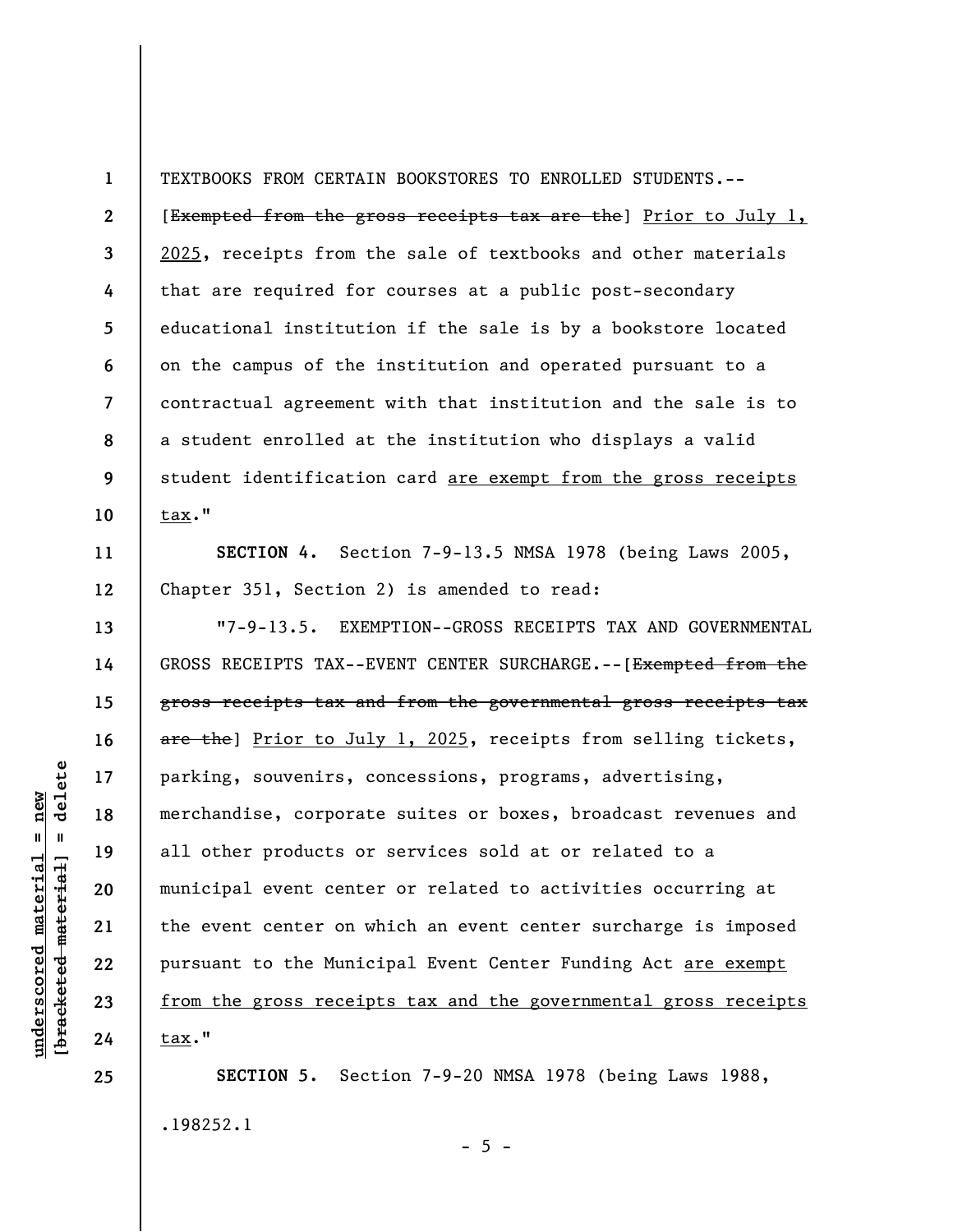**1 2 3 4 5 6 7 8 9 10**  TEXTBOOKS FROM CERTAIN BOOKSTORES TO ENROLLED STUDENTS.-- [Exempted from the gross receipts tax are the] Prior to July 1, 2025, receipts from the sale of textbooks and other materials that are required for courses at a public post-secondary educational institution if the sale is by a bookstore located on the campus of the institution and operated pursuant to a contractual agreement with that institution and the sale is to a student enrolled at the institution who displays a valid student identification card are exempt from the gross receipts tax."

**SECTION 4.** Section 7-9-13.5 NMSA 1978 (being Laws 2005, Chapter 351, Section 2) is amended to read:

"7-9-13.5. EXEMPTION--GROSS RECEIPTS TAX AND GOVERNMENTAL GROSS RECEIPTS TAX--EVENT CENTER SURCHARGE.--[Exempted from the gross receipts tax and from the governmental gross receipts tax are the] Prior to July 1, 2025, receipts from selling tickets, parking, souvenirs, concessions, programs, advertising, merchandise, corporate suites or boxes, broadcast revenues and all other products or services sold at or related to a municipal event center or related to activities occurring at the event center on which an event center surcharge is imposed pursuant to the Municipal Event Center Funding Act are exempt from the gross receipts tax and the governmental gross receipts tax."

**SECTION 5.** Section 7-9-20 NMSA 1978 (being Laws 1988, .198252.1

 $- 5 -$ 

delete **[bracketed material] = delete**  $underscored material = new$ **underscored material = new**  $\mathbf{I}$ bracketed material

**25** 

**11** 

**12** 

**13** 

**14** 

**15** 

**16** 

**17** 

**18** 

**19** 

**20** 

**21** 

**22** 

**23**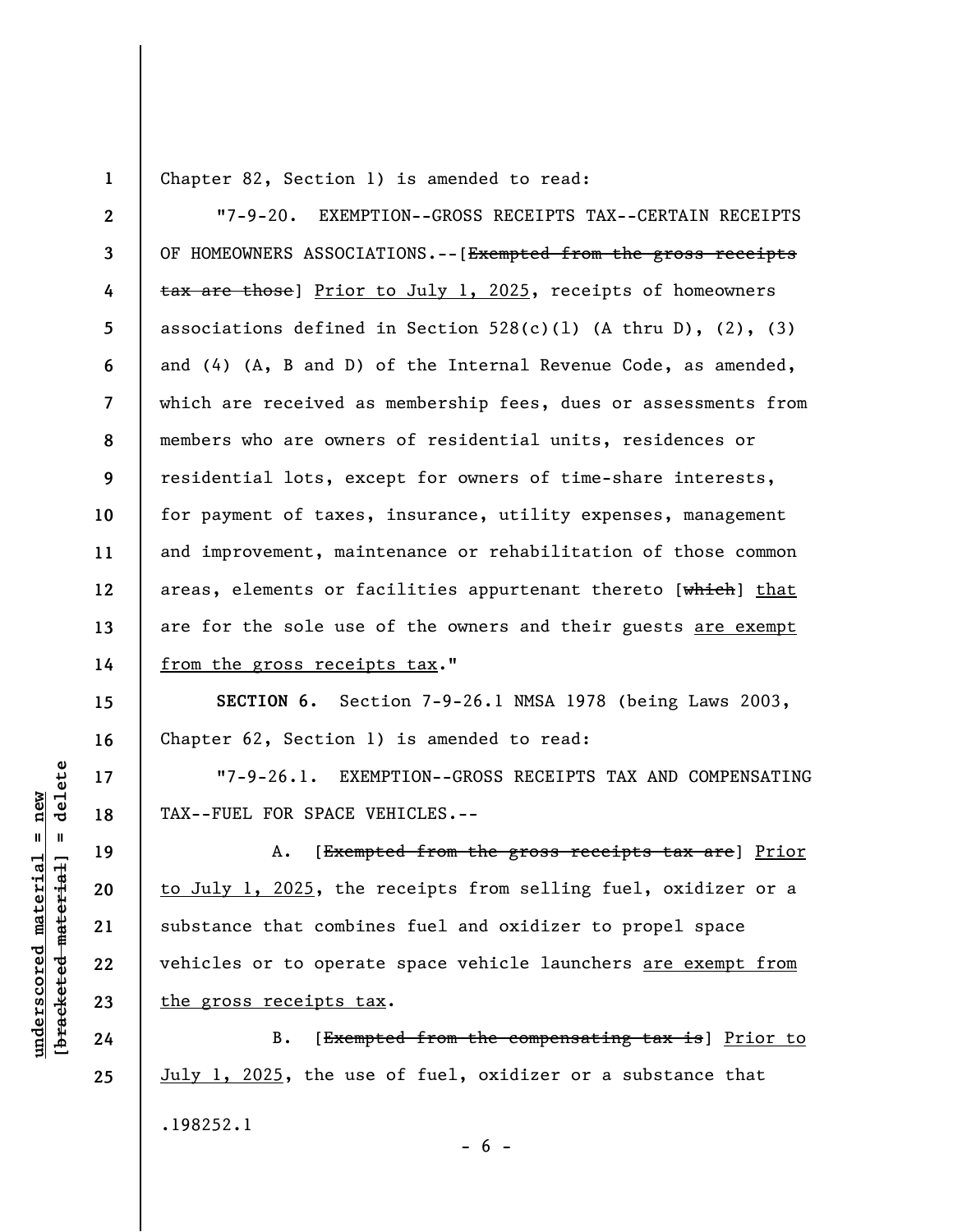**1** 

Chapter 82, Section 1) is amended to read:

**2 3 4 5 6 7 8 9 10 11 12 13 14**  "7-9-20. EXEMPTION--GROSS RECEIPTS TAX--CERTAIN RECEIPTS OF HOMEOWNERS ASSOCIATIONS.--[Exempted from the gross receipts tax are those] Prior to July 1, 2025, receipts of homeowners associations defined in Section  $528(c)(1)$  (A thru D), (2), (3) and (4) (A, B and D) of the Internal Revenue Code, as amended, which are received as membership fees, dues or assessments from members who are owners of residential units, residences or residential lots, except for owners of time-share interests, for payment of taxes, insurance, utility expenses, management and improvement, maintenance or rehabilitation of those common areas, elements or facilities appurtenant thereto [which] that are for the sole use of the owners and their guests are exempt from the gross receipts tax."

**SECTION 6.** Section 7-9-26.1 NMSA 1978 (being Laws 2003, Chapter 62, Section 1) is amended to read:

"7-9-26.1. EXEMPTION--GROSS RECEIPTS TAX AND COMPENSATING TAX--FUEL FOR SPACE VEHICLES.--

A. [Exempted from the gross receipts tax are] Prior to July 1, 2025, the receipts from selling fuel, oxidizer or a substance that combines fuel and oxidizer to propel space vehicles or to operate space vehicle launchers are exempt from the gross receipts tax.

B. [Exempted from the compensating tax is] Prior to July 1, 2025, the use of fuel, oxidizer or a substance that .198252.1  $- 6 -$ 

delete **[bracketed material] = delete**  $underscored material = new$ **underscored material = new**  $\mathbf{u}$ bracketed material

**15** 

**16** 

**17** 

**18** 

**19** 

**20** 

**21** 

**22** 

**23** 

**24**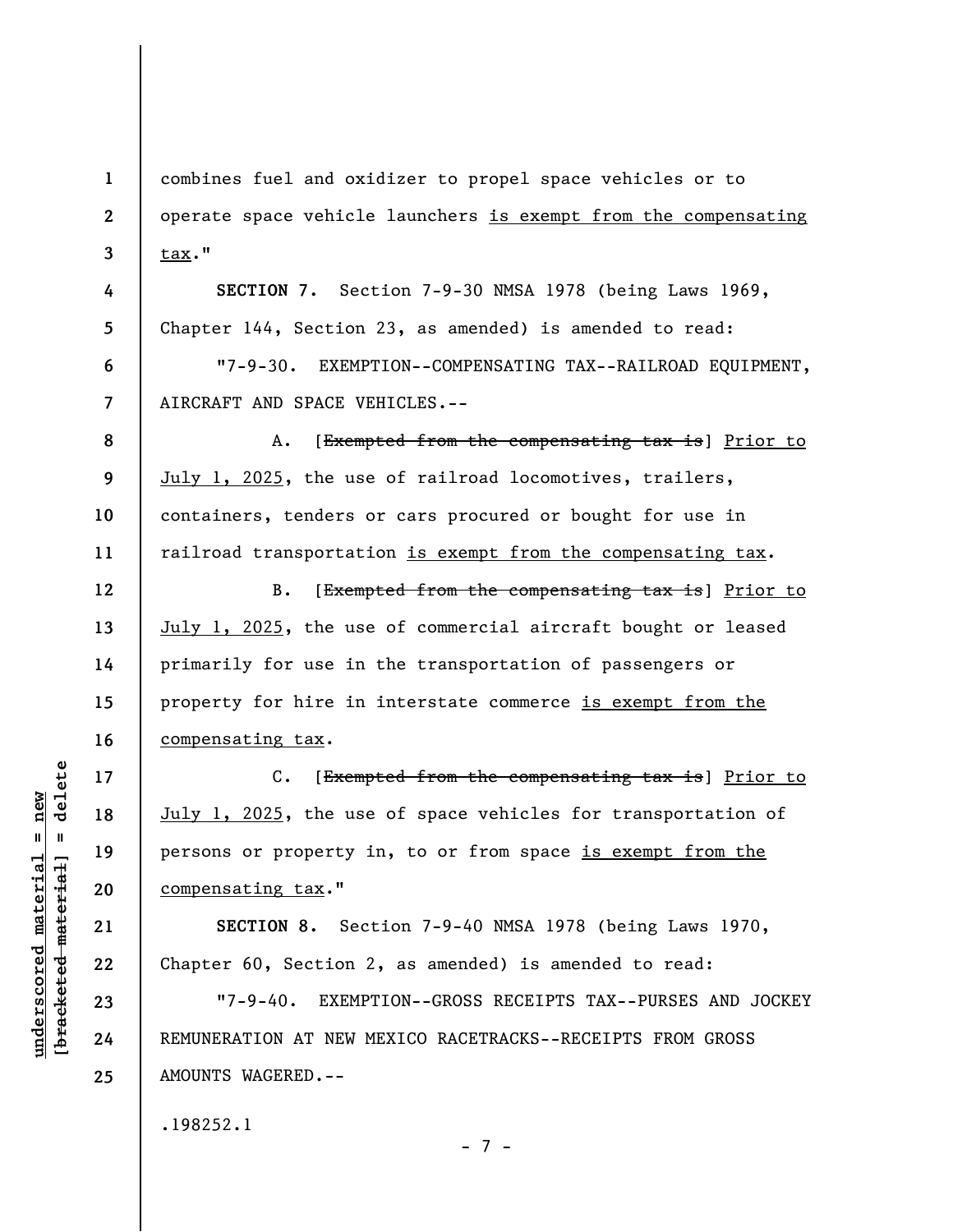**1 2 3 4 5 6 7 8 9 10 11 12 13 14 15 16 17 18 19 20 21 22 23**  combines fuel and oxidizer to propel space vehicles or to operate space vehicle launchers is exempt from the compensating tax." **SECTION 7.** Section 7-9-30 NMSA 1978 (being Laws 1969, Chapter 144, Section 23, as amended) is amended to read: "7-9-30. EXEMPTION--COMPENSATING TAX--RAILROAD EQUIPMENT, AIRCRAFT AND SPACE VEHICLES.-- A. [Exempted from the compensating tax is] Prior to July 1, 2025, the use of railroad locomotives, trailers, containers, tenders or cars procured or bought for use in railroad transportation is exempt from the compensating tax. B. [Exempted from the compensating tax is] Prior to July 1, 2025, the use of commercial aircraft bought or leased primarily for use in the transportation of passengers or property for hire in interstate commerce is exempt from the compensating tax. C. [Exempted from the compensating tax is] Prior to July 1, 2025, the use of space vehicles for transportation of persons or property in, to or from space is exempt from the compensating tax." **SECTION 8.** Section 7-9-40 NMSA 1978 (being Laws 1970, Chapter 60, Section 2, as amended) is amended to read: "7-9-40. EXEMPTION--GROSS RECEIPTS TAX--PURSES AND JOCKEY

REMUNERATION AT NEW MEXICO RACETRACKS--RECEIPTS FROM GROSS AMOUNTS WAGERED.--

- 7 -

.198252.1

delete **[bracketed material] = delete**  $underscored material = new$ **underscored material = new**  $\mathbf{I}$ bracketed material

**24**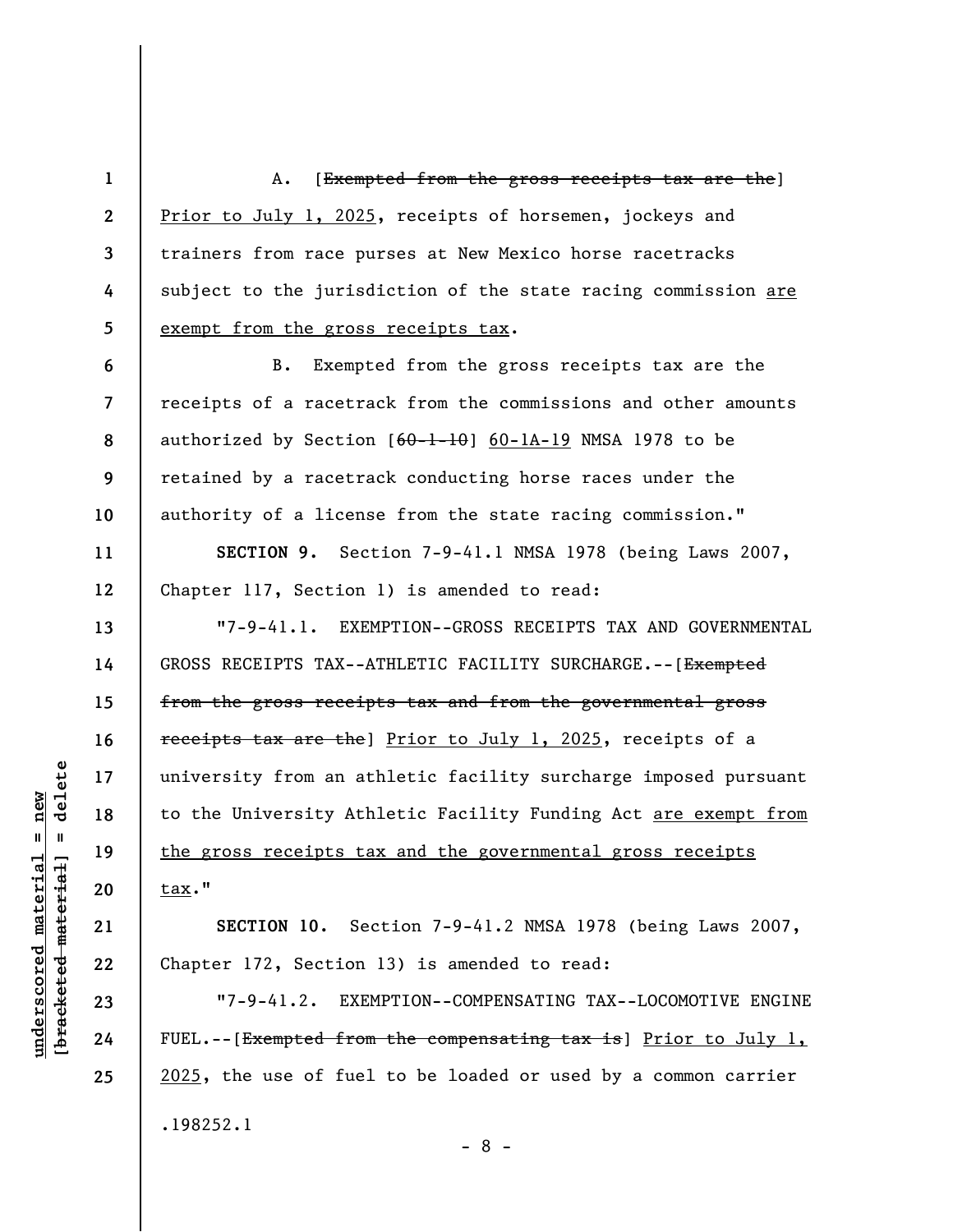**1 2 3 4 5**  A. [Exempted from the gross receipts tax are the] Prior to July 1, 2025, receipts of horsemen, jockeys and trainers from race purses at New Mexico horse racetracks subject to the jurisdiction of the state racing commission are exempt from the gross receipts tax.

**6 7 8 9 10**  B. Exempted from the gross receipts tax are the receipts of a racetrack from the commissions and other amounts authorized by Section  $[60-1-10]$  60-1A-19 NMSA 1978 to be retained by a racetrack conducting horse races under the authority of a license from the state racing commission."

**SECTION 9.** Section 7-9-41.1 NMSA 1978 (being Laws 2007, Chapter 117, Section 1) is amended to read:

"7-9-41.1. EXEMPTION--GROSS RECEIPTS TAX AND GOVERNMENTAL GROSS RECEIPTS TAX--ATHLETIC FACILITY SURCHARGE.--[Exempted from the gross receipts tax and from the governmental gross receipts tax are the] Prior to July 1, 2025, receipts of a university from an athletic facility surcharge imposed pursuant to the University Athletic Facility Funding Act are exempt from the gross receipts tax and the governmental gross receipts tax."

**SECTION 10.** Section 7-9-41.2 NMSA 1978 (being Laws 2007, Chapter 172, Section 13) is amended to read:

"7-9-41.2. EXEMPTION--COMPENSATING TAX--LOCOMOTIVE ENGINE FUEL.--[Exempted from the compensating tax is] Prior to July  $l$ , 2025, the use of fuel to be loaded or used by a common carrier .198252.1

- 8 -

delete **[bracketed material] = delete**  $underscored material = new$ **underscored material = new**  $\mathbf{I}$ bracketed material

**11** 

**12** 

**13** 

**14** 

**15** 

**16** 

**17** 

**18** 

**19** 

**20** 

**21** 

**22** 

**23** 

**24**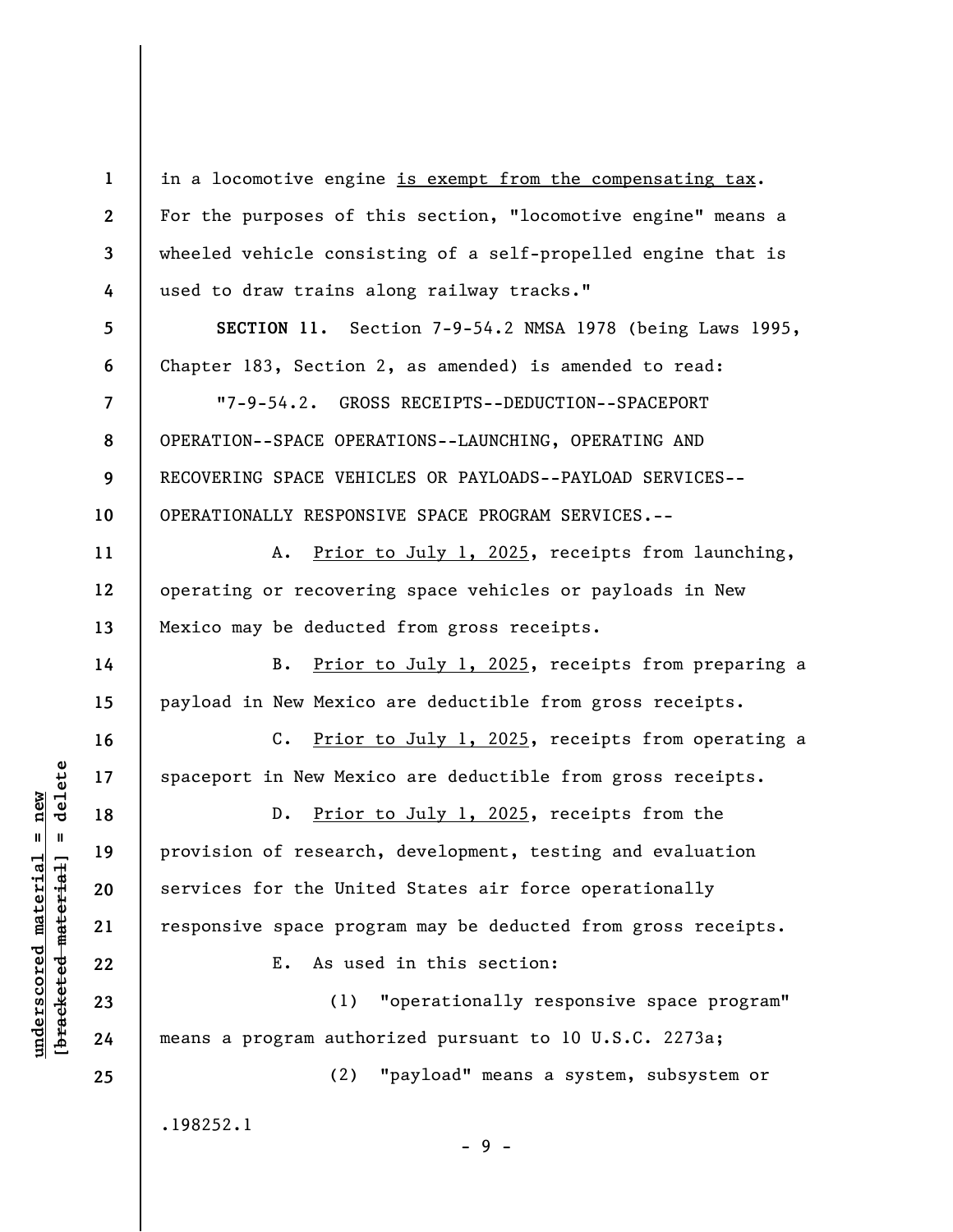**1 2 3 4 5 6 7 8 9 10 11 12 13 14 15 16 17 18 19 20 21 22 23 24 25**  in a locomotive engine is exempt from the compensating tax. For the purposes of this section, "locomotive engine" means a wheeled vehicle consisting of a self-propelled engine that is used to draw trains along railway tracks." **SECTION 11.** Section 7-9-54.2 NMSA 1978 (being Laws 1995, Chapter 183, Section 2, as amended) is amended to read: "7-9-54.2. GROSS RECEIPTS--DEDUCTION--SPACEPORT OPERATION--SPACE OPERATIONS--LAUNCHING, OPERATING AND RECOVERING SPACE VEHICLES OR PAYLOADS--PAYLOAD SERVICES-- OPERATIONALLY RESPONSIVE SPACE PROGRAM SERVICES.-- A. Prior to July 1, 2025, receipts from launching, operating or recovering space vehicles or payloads in New Mexico may be deducted from gross receipts. B. Prior to July 1, 2025, receipts from preparing a payload in New Mexico are deductible from gross receipts. C. Prior to July 1, 2025, receipts from operating a spaceport in New Mexico are deductible from gross receipts. D. Prior to July 1, 2025, receipts from the provision of research, development, testing and evaluation services for the United States air force operationally responsive space program may be deducted from gross receipts. E. As used in this section: (1) "operationally responsive space program" means a program authorized pursuant to 10 U.S.C. 2273a; (2) "payload" means a system, subsystem or .198252.1 - 9 -

**underscored material = new [bracketed material] = delete**

 $\frac{1}{2}$  bracketed material = delete  $underscored material = new$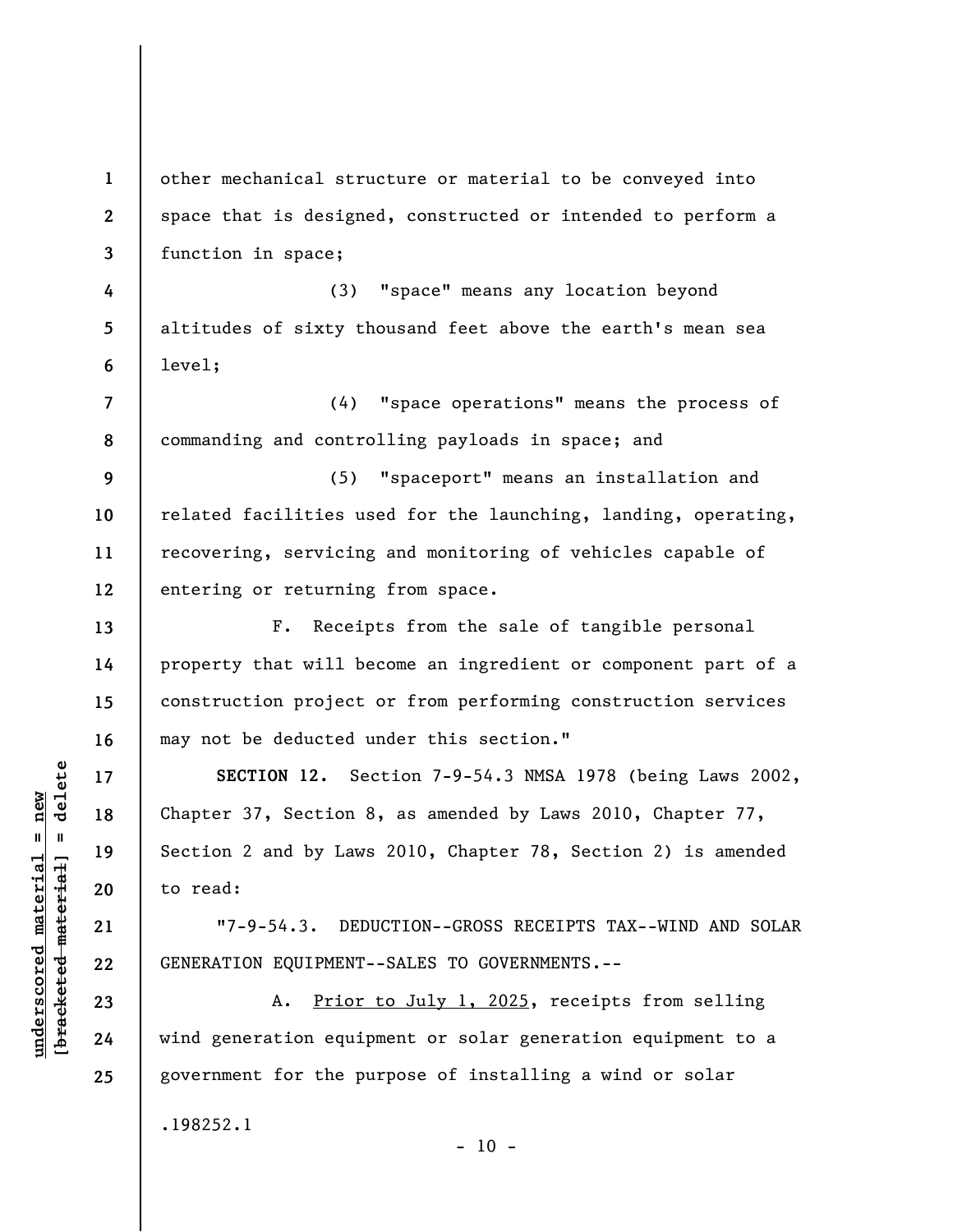**1 2 3 4 5 6 7 8 9 10 11 12 13 14 15 16 17 18 19 20 21 22 23 24 25**  other mechanical structure or material to be conveyed into space that is designed, constructed or intended to perform a function in space; (3) "space" means any location beyond altitudes of sixty thousand feet above the earth's mean sea level; (4) "space operations" means the process of commanding and controlling payloads in space; and (5) "spaceport" means an installation and related facilities used for the launching, landing, operating, recovering, servicing and monitoring of vehicles capable of entering or returning from space. F. Receipts from the sale of tangible personal property that will become an ingredient or component part of a construction project or from performing construction services may not be deducted under this section." **SECTION 12.** Section 7-9-54.3 NMSA 1978 (being Laws 2002, Chapter 37, Section 8, as amended by Laws 2010, Chapter 77, Section 2 and by Laws 2010, Chapter 78, Section 2) is amended to read: "7-9-54.3. DEDUCTION--GROSS RECEIPTS TAX--WIND AND SOLAR GENERATION EQUIPMENT--SALES TO GOVERNMENTS.-- A. Prior to July 1, 2025, receipts from selling wind generation equipment or solar generation equipment to a government for the purpose of installing a wind or solar .198252.1

 $b$ racketed material] = delete **[bracketed material] = delete**  $underscored material = new$ **underscored material = new**

 $- 10 -$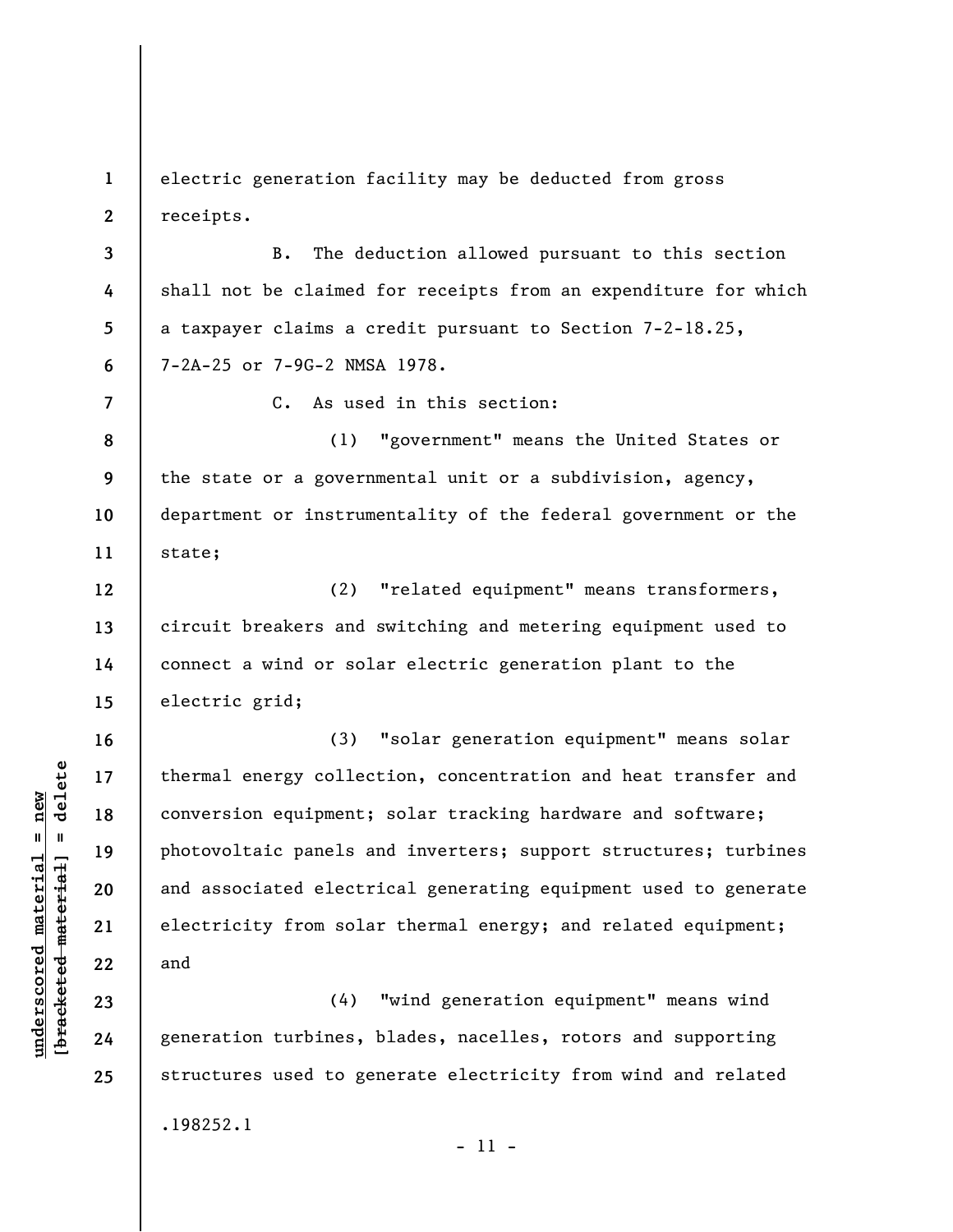**1 2**  electric generation facility may be deducted from gross receipts.

**3 4 5 6**  B. The deduction allowed pursuant to this section shall not be claimed for receipts from an expenditure for which a taxpayer claims a credit pursuant to Section 7-2-18.25, 7-2A-25 or 7-9G-2 NMSA 1978.

C. As used in this section:

**8 9 10 11**  (1) "government" means the United States or the state or a governmental unit or a subdivision, agency, department or instrumentality of the federal government or the state;

**12 13 14 15**  (2) "related equipment" means transformers, circuit breakers and switching and metering equipment used to connect a wind or solar electric generation plant to the electric grid;

(3) "solar generation equipment" means solar thermal energy collection, concentration and heat transfer and conversion equipment; solar tracking hardware and software; photovoltaic panels and inverters; support structures; turbines and associated electrical generating equipment used to generate electricity from solar thermal energy; and related equipment; and

(4) "wind generation equipment" means wind generation turbines, blades, nacelles, rotors and supporting structures used to generate electricity from wind and related .198252.1

 $b$ racketed material] = delete **[bracketed material] = delete**  $underscored material = new$ **underscored material = new**

**7** 

**16** 

**17** 

**18** 

**19** 

**20** 

**21** 

**22** 

**23** 

**24** 

```
- 11 -
```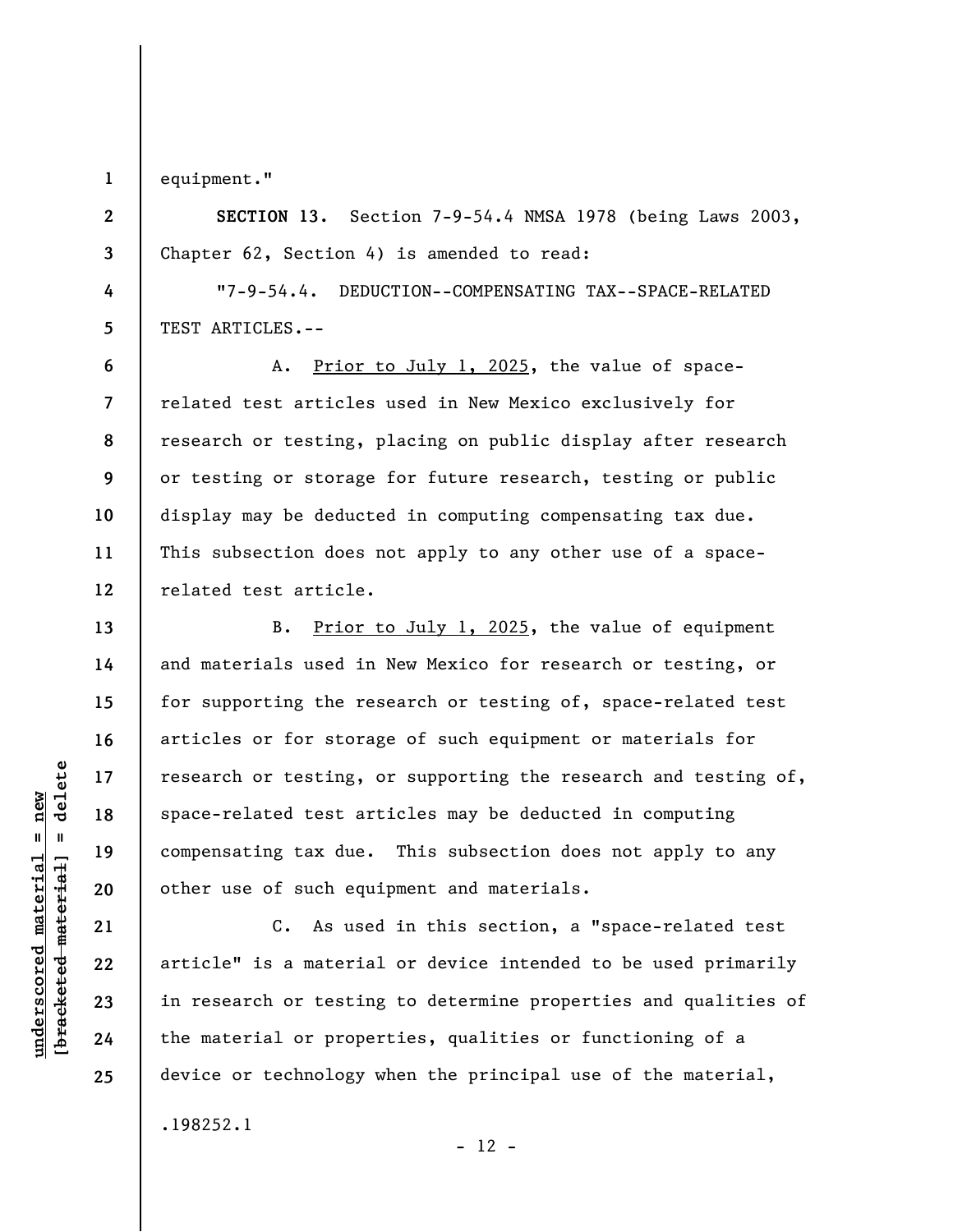**1**  equipment."

**2** 

**3** 

**4** 

**5** 

**6** 

**7** 

**9** 

**10** 

**11** 

**13** 

**14** 

**15** 

**16** 

**17** 

**18** 

**19** 

**20** 

**21** 

**22** 

**23** 

**24** 

**25** 

**SECTION 13.** Section 7-9-54.4 NMSA 1978 (being Laws 2003, Chapter 62, Section 4) is amended to read:

"7-9-54.4. DEDUCTION--COMPENSATING TAX--SPACE-RELATED TEST ARTICLES.--

**8 12**  A. Prior to July 1, 2025, the value of spacerelated test articles used in New Mexico exclusively for research or testing, placing on public display after research or testing or storage for future research, testing or public display may be deducted in computing compensating tax due. This subsection does not apply to any other use of a spacerelated test article.

B. Prior to July 1, 2025, the value of equipment and materials used in New Mexico for research or testing, or for supporting the research or testing of, space-related test articles or for storage of such equipment or materials for research or testing, or supporting the research and testing of, space-related test articles may be deducted in computing compensating tax due. This subsection does not apply to any other use of such equipment and materials.

C. As used in this section, a "space-related test article" is a material or device intended to be used primarily in research or testing to determine properties and qualities of the material or properties, qualities or functioning of a device or technology when the principal use of the material, .198252.1

 $- 12 -$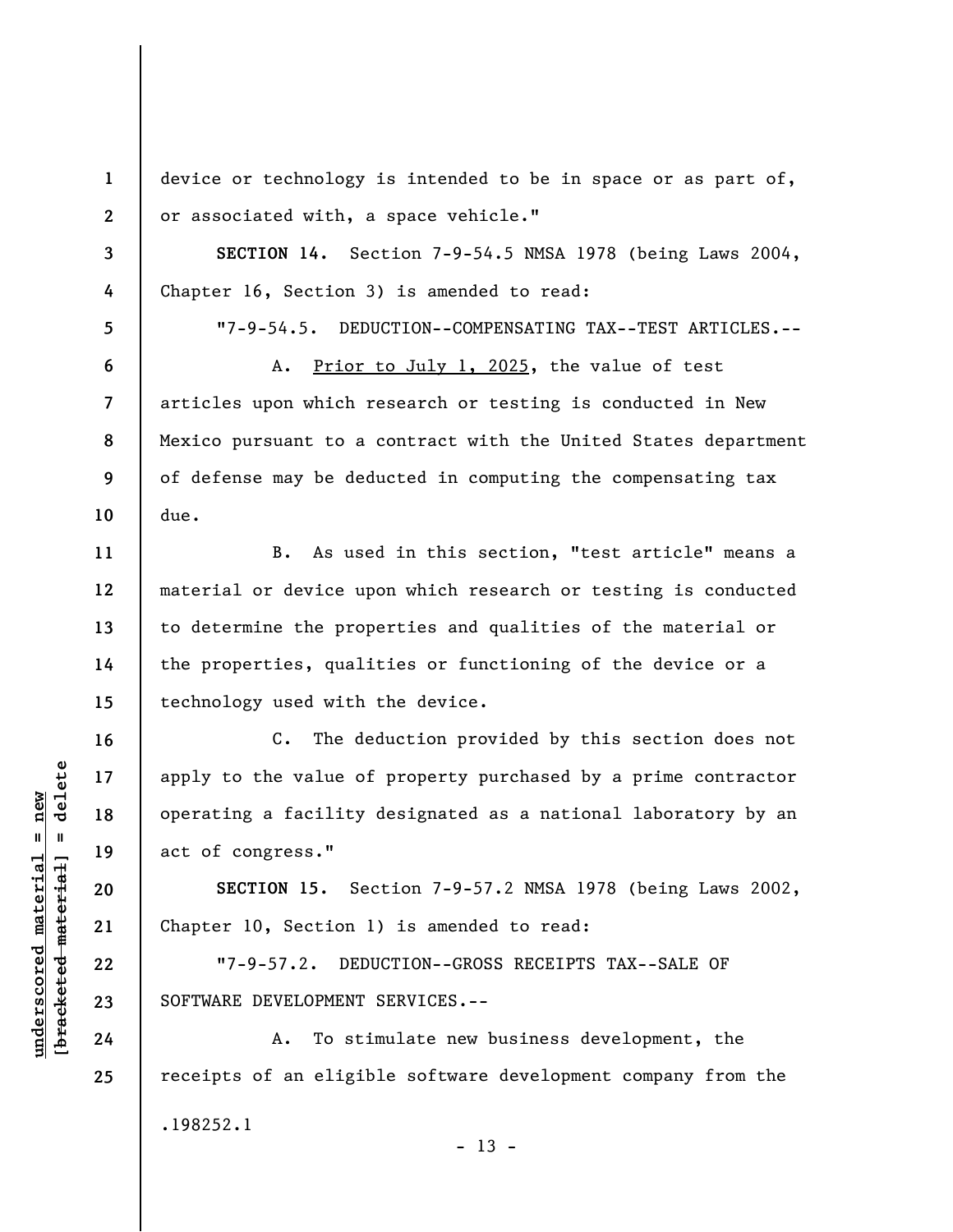device or technology is intended to be in space or as part of, or associated with, a space vehicle."

**SECTION 14.** Section 7-9-54.5 NMSA 1978 (being Laws 2004, Chapter 16, Section 3) is amended to read:

**5** 

**6** 

**7** 

**8** 

**9** 

**10** 

**11** 

**12** 

**13** 

**14** 

**15** 

**16** 

**17** 

**18** 

**19** 

**20** 

**21** 

**22** 

**23** 

**24** 

**25** 

**1** 

**2** 

**3** 

**4** 

"7-9-54.5. DEDUCTION--COMPENSATING TAX--TEST ARTICLES.--

A. Prior to July 1, 2025, the value of test articles upon which research or testing is conducted in New Mexico pursuant to a contract with the United States department of defense may be deducted in computing the compensating tax due.

B. As used in this section, "test article" means a material or device upon which research or testing is conducted to determine the properties and qualities of the material or the properties, qualities or functioning of the device or a technology used with the device.

C. The deduction provided by this section does not apply to the value of property purchased by a prime contractor operating a facility designated as a national laboratory by an act of congress."

**SECTION 15.** Section 7-9-57.2 NMSA 1978 (being Laws 2002, Chapter 10, Section 1) is amended to read:

"7-9-57.2. DEDUCTION--GROSS RECEIPTS TAX--SALE OF SOFTWARE DEVELOPMENT SERVICES.--

A. To stimulate new business development, the receipts of an eligible software development company from the .198252.1

 $\frac{1}{2}$  intereted material = delete **[bracketed material] = delete**  $underscored material = new$ **underscored material = new**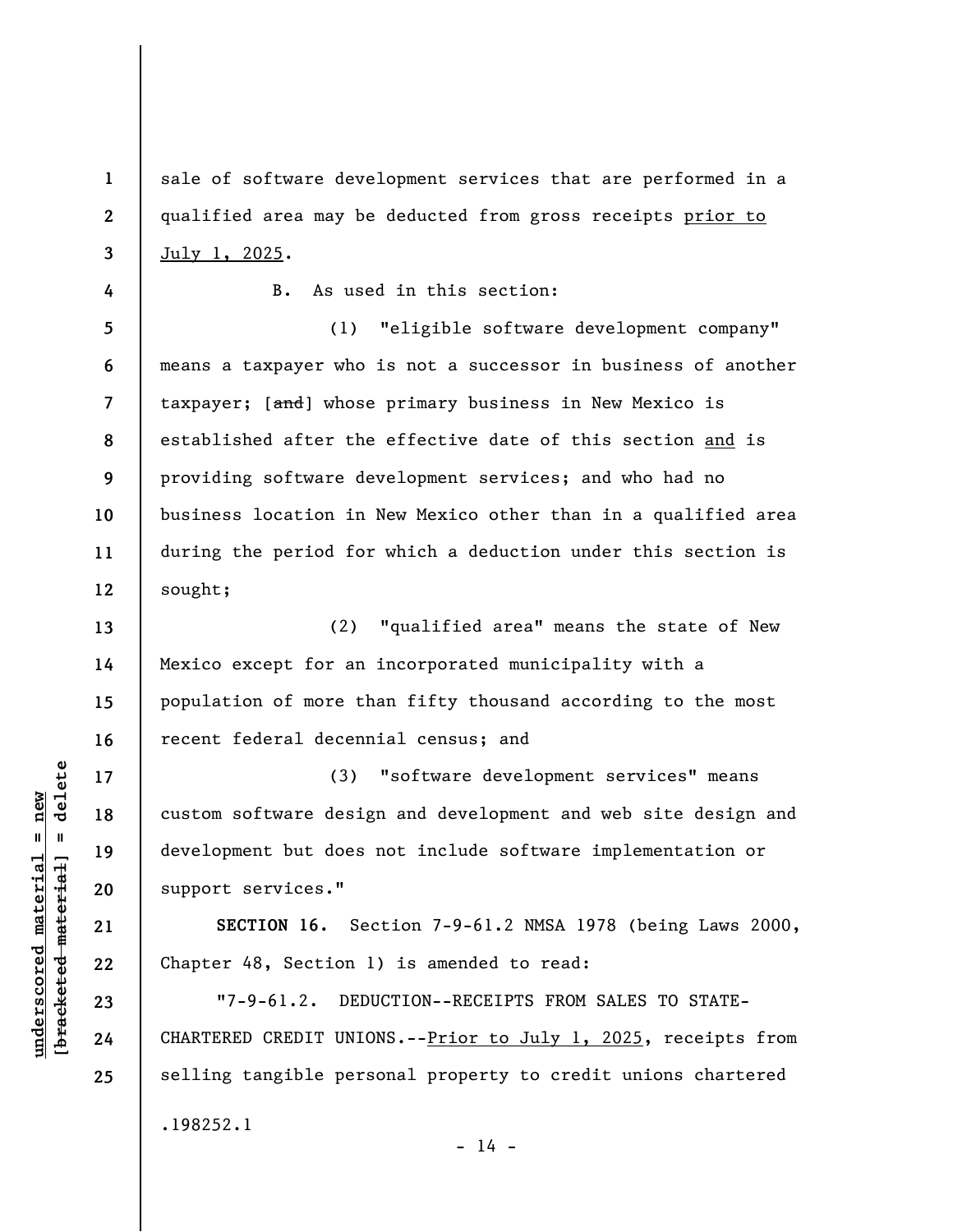sale of software development services that are performed in a qualified area may be deducted from gross receipts prior to July 1, 2025.

B. As used in this section:

**5 6 7 8 9 10 11 12**  (1) "eligible software development company" means a taxpayer who is not a successor in business of another taxpayer; [and] whose primary business in New Mexico is established after the effective date of this section and is providing software development services; and who had no business location in New Mexico other than in a qualified area during the period for which a deduction under this section is sought;

**13 14 15 16**  (2) "qualified area" means the state of New Mexico except for an incorporated municipality with a population of more than fifty thousand according to the most recent federal decennial census; and

(3) "software development services" means custom software design and development and web site design and development but does not include software implementation or support services."

**SECTION 16.** Section 7-9-61.2 NMSA 1978 (being Laws 2000, Chapter 48, Section 1) is amended to read:

"7-9-61.2. DEDUCTION--RECEIPTS FROM SALES TO STATE-CHARTERED CREDIT UNIONS.--Prior to July 1, 2025, receipts from selling tangible personal property to credit unions chartered .198252.1

**17** 

**18** 

**19** 

**20** 

**21** 

**22** 

**23** 

**24** 

**25** 

**1** 

**2** 

**3** 

**4** 

 $- 14 -$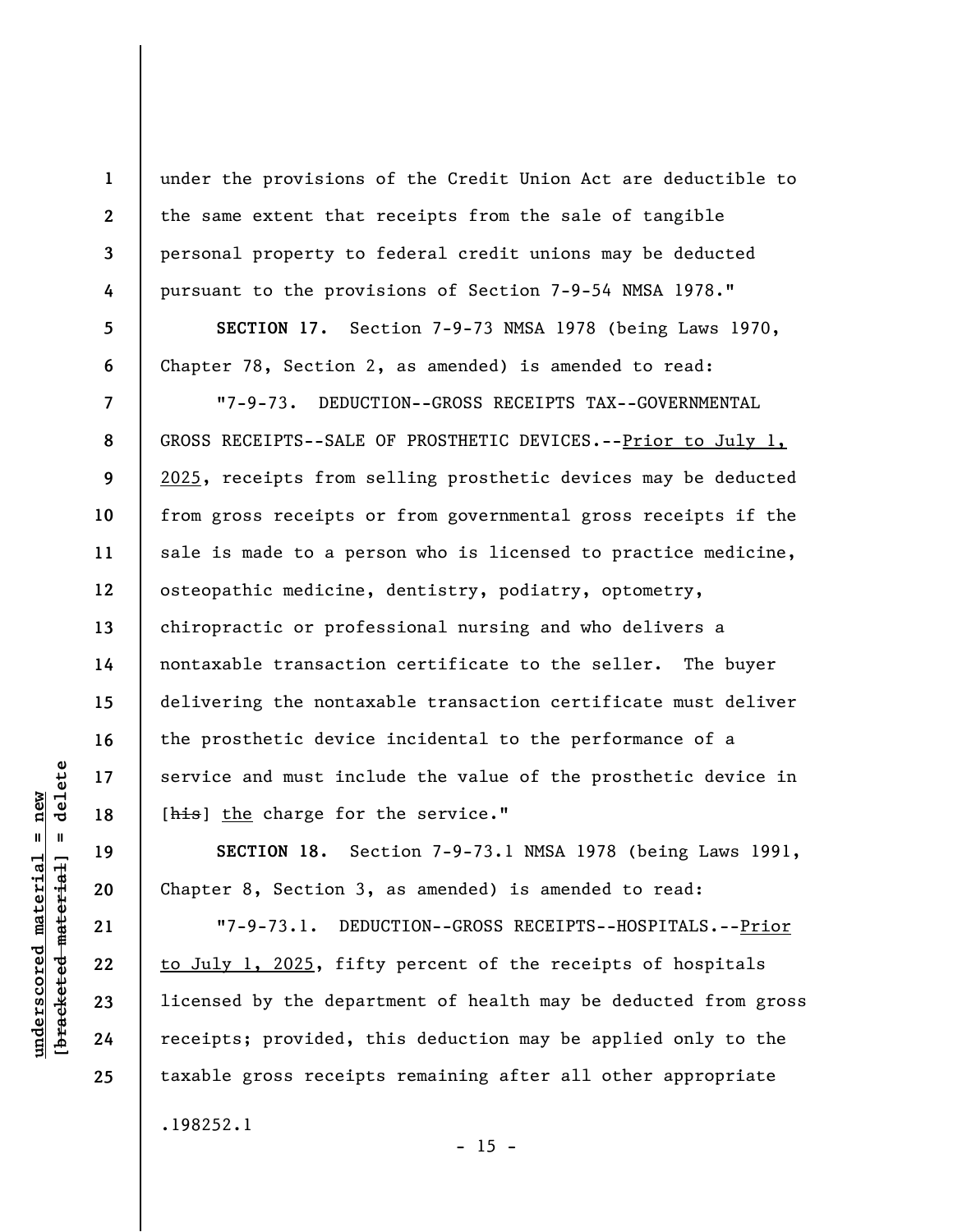under the provisions of the Credit Union Act are deductible to the same extent that receipts from the sale of tangible personal property to federal credit unions may be deducted pursuant to the provisions of Section 7-9-54 NMSA 1978."

**SECTION 17.** Section 7-9-73 NMSA 1978 (being Laws 1970, Chapter 78, Section 2, as amended) is amended to read:

"7-9-73. DEDUCTION--GROSS RECEIPTS TAX--GOVERNMENTAL GROSS RECEIPTS--SALE OF PROSTHETIC DEVICES.--Prior to July 1, 2025, receipts from selling prosthetic devices may be deducted from gross receipts or from governmental gross receipts if the sale is made to a person who is licensed to practice medicine, osteopathic medicine, dentistry, podiatry, optometry, chiropractic or professional nursing and who delivers a nontaxable transaction certificate to the seller. The buyer delivering the nontaxable transaction certificate must deliver the prosthetic device incidental to the performance of a service and must include the value of the prosthetic device in [his] the charge for the service."

**SECTION 18.** Section 7-9-73.1 NMSA 1978 (being Laws 1991, Chapter 8, Section 3, as amended) is amended to read:

"7-9-73.1. DEDUCTION--GROSS RECEIPTS--HOSPITALS.--Prior to July 1, 2025, fifty percent of the receipts of hospitals licensed by the department of health may be deducted from gross receipts; provided, this deduction may be applied only to the taxable gross receipts remaining after all other appropriate .198252.1

delete **[bracketed material] = delete**  $underscored material = new$ **underscored material = new**  $\mathbf{I}$ bracketed material

**23 24** 

**25** 

**1** 

**2** 

**3** 

**4** 

**5** 

**6** 

**7** 

**8** 

**9** 

**10** 

**11** 

**12** 

**13** 

**14** 

**15** 

**16** 

**17** 

**18** 

**19** 

**20** 

**21** 

**22** 

 $- 15 -$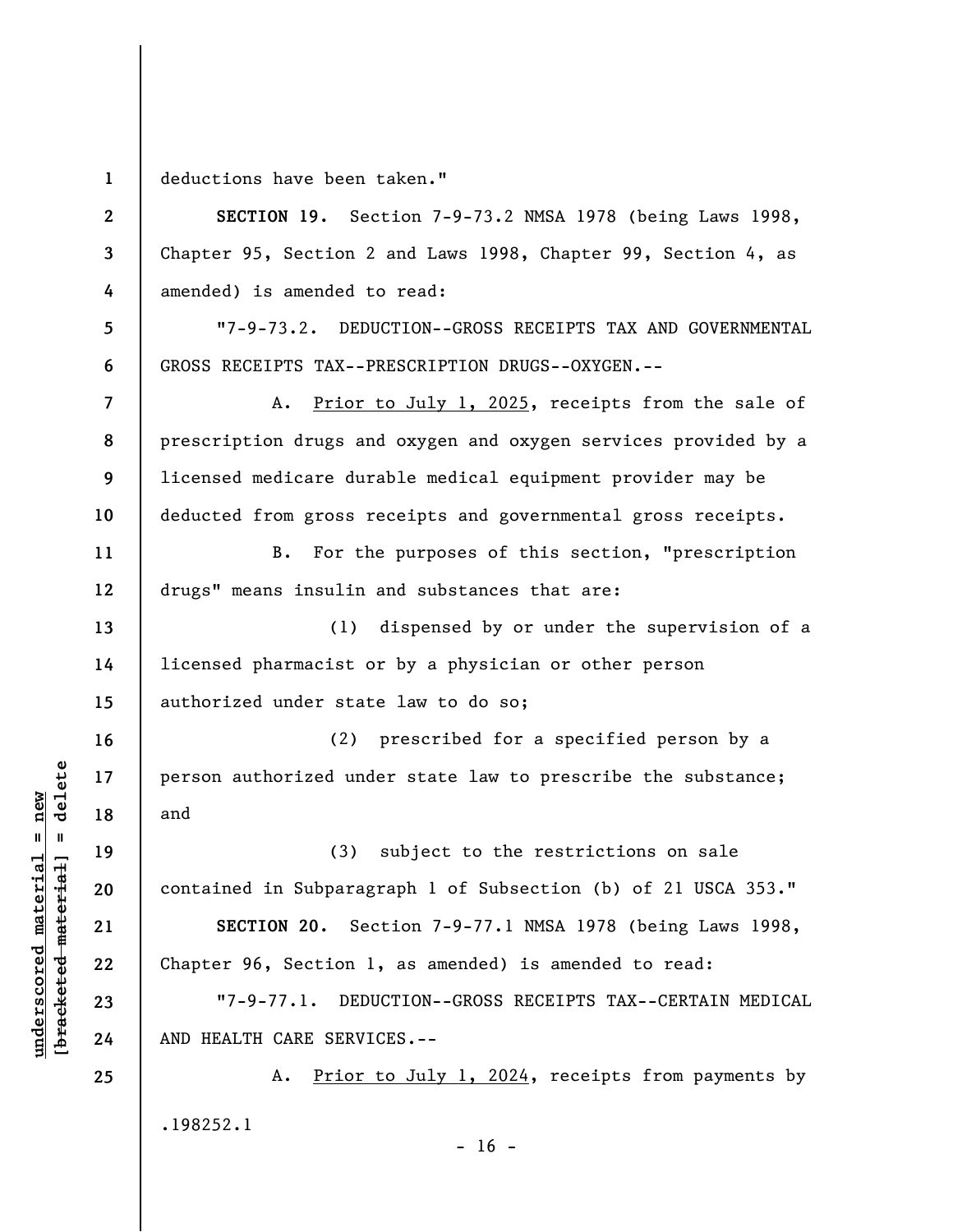**1**  deductions have been taken."

**underscored material = new [bracketed material] = delete**

 $\frac{1}{2}$  intereted material = delete  $underscored material = new$ 

**2 3 4 5 6 7 8 9 10 11 12 13 14 15 16 17 18 19 20 21 22 23 24 25 SECTION 19.** Section 7-9-73.2 NMSA 1978 (being Laws 1998, Chapter 95, Section 2 and Laws 1998, Chapter 99, Section 4, as amended) is amended to read: "7-9-73.2. DEDUCTION--GROSS RECEIPTS TAX AND GOVERNMENTAL GROSS RECEIPTS TAX--PRESCRIPTION DRUGS--OXYGEN.-- A. Prior to July 1, 2025, receipts from the sale of prescription drugs and oxygen and oxygen services provided by a licensed medicare durable medical equipment provider may be deducted from gross receipts and governmental gross receipts. B. For the purposes of this section, "prescription drugs" means insulin and substances that are: (1) dispensed by or under the supervision of a licensed pharmacist or by a physician or other person authorized under state law to do so; (2) prescribed for a specified person by a person authorized under state law to prescribe the substance; and (3) subject to the restrictions on sale contained in Subparagraph 1 of Subsection (b) of 21 USCA 353." **SECTION 20.** Section 7-9-77.1 NMSA 1978 (being Laws 1998, Chapter 96, Section 1, as amended) is amended to read: "7-9-77.1. DEDUCTION--GROSS RECEIPTS TAX--CERTAIN MEDICAL AND HEALTH CARE SERVICES.-- A. Prior to July 1, 2024, receipts from payments by .198252.1  $- 16 -$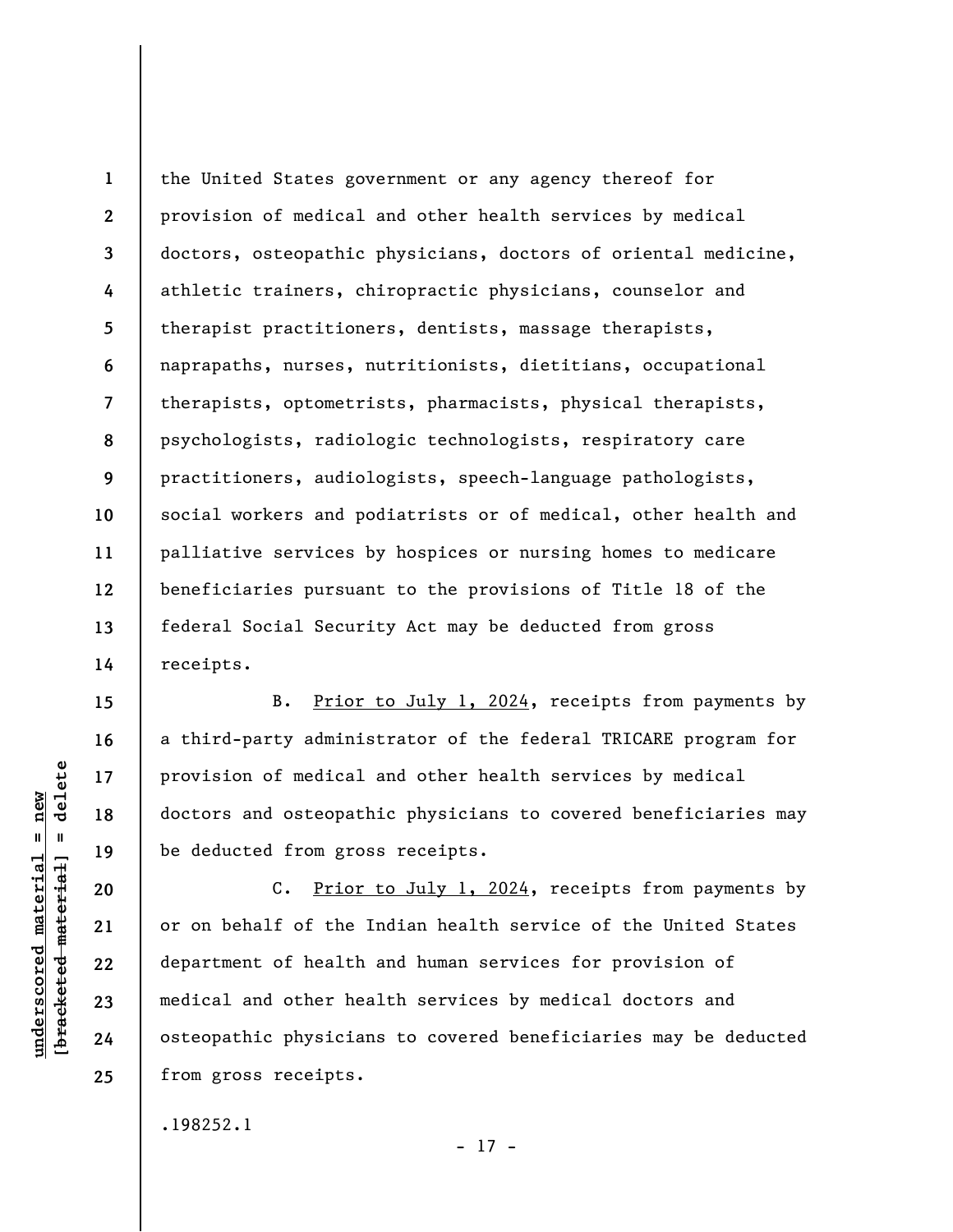**1 2 3 4 5 6 7 8 9 10 11 12 13 14**  the United States government or any agency thereof for provision of medical and other health services by medical doctors, osteopathic physicians, doctors of oriental medicine, athletic trainers, chiropractic physicians, counselor and therapist practitioners, dentists, massage therapists, naprapaths, nurses, nutritionists, dietitians, occupational therapists, optometrists, pharmacists, physical therapists, psychologists, radiologic technologists, respiratory care practitioners, audiologists, speech-language pathologists, social workers and podiatrists or of medical, other health and palliative services by hospices or nursing homes to medicare beneficiaries pursuant to the provisions of Title 18 of the federal Social Security Act may be deducted from gross receipts.

B. Prior to July 1, 2024, receipts from payments by a third-party administrator of the federal TRICARE program for provision of medical and other health services by medical doctors and osteopathic physicians to covered beneficiaries may be deducted from gross receipts.

C. Prior to July 1, 2024, receipts from payments by or on behalf of the Indian health service of the United States department of health and human services for provision of medical and other health services by medical doctors and osteopathic physicians to covered beneficiaries may be deducted from gross receipts.

.198252.1

 $b$ racketed material] = delete **[bracketed material] = delete**  $underscored material = new$ **underscored material = new**

**15** 

**16** 

**17** 

**18** 

**19** 

**20** 

**21** 

**22** 

**23** 

**24** 

**25** 

- 17 -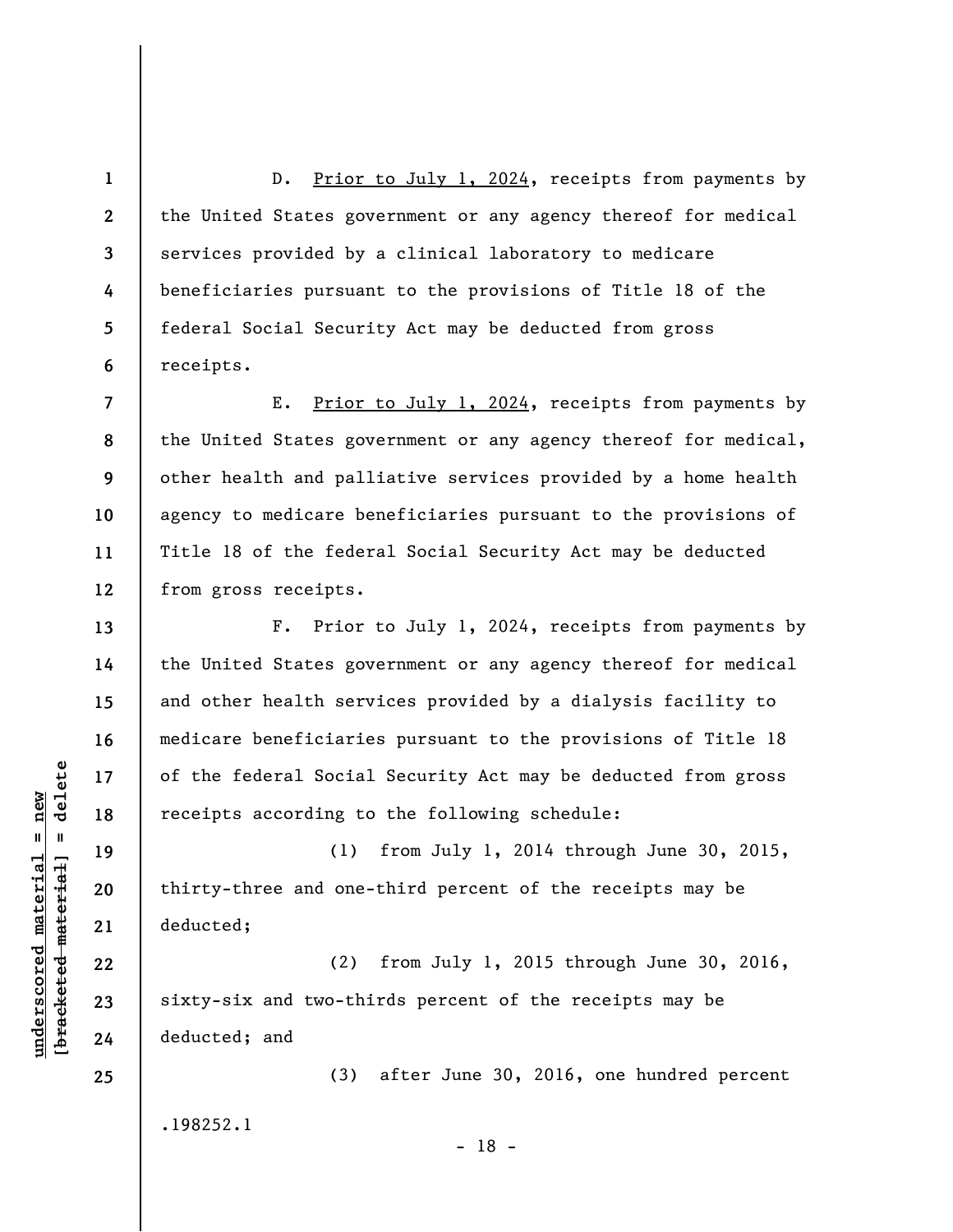D. Prior to July 1, 2024, receipts from payments by the United States government or any agency thereof for medical services provided by a clinical laboratory to medicare beneficiaries pursuant to the provisions of Title 18 of the federal Social Security Act may be deducted from gross receipts.

**7 8 9 10 11 12**  E. Prior to July 1, 2024, receipts from payments by the United States government or any agency thereof for medical, other health and palliative services provided by a home health agency to medicare beneficiaries pursuant to the provisions of Title 18 of the federal Social Security Act may be deducted from gross receipts.

F. Prior to July 1, 2024, receipts from payments by the United States government or any agency thereof for medical and other health services provided by a dialysis facility to medicare beneficiaries pursuant to the provisions of Title 18 of the federal Social Security Act may be deducted from gross receipts according to the following schedule:

(1) from July 1, 2014 through June 30, 2015, thirty-three and one-third percent of the receipts may be deducted;

(2) from July 1, 2015 through June 30, 2016, sixty-six and two-thirds percent of the receipts may be deducted; and

(3) after June 30, 2016, one hundred percent .198252.1 - 18 -

 $\frac{1}{2}$  intereted material = delete **[bracketed material] = delete**  $underscored material = new$ **underscored material = new**

**1** 

**2** 

**3** 

**4** 

**5** 

**6** 

**13** 

**14** 

**15** 

**16** 

**17** 

**18** 

**19** 

**20** 

**21** 

**22** 

**23** 

**24**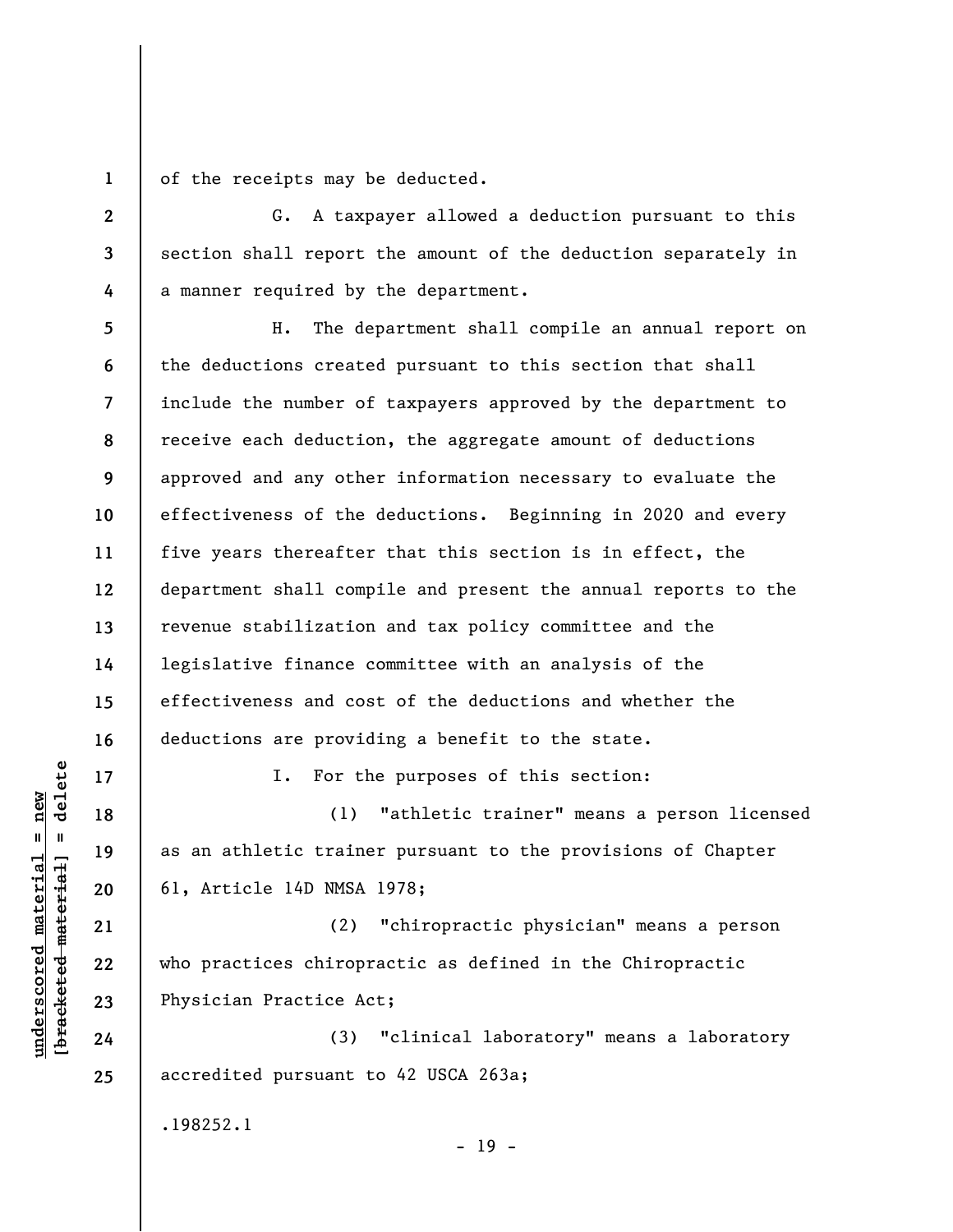**1**  of the receipts may be deducted.

**2** 

**3** 

**4** 

G. A taxpayer allowed a deduction pursuant to this section shall report the amount of the deduction separately in a manner required by the department.

**5 6 7 8 9 10 11 12 13 14 15 16**  H. The department shall compile an annual report on the deductions created pursuant to this section that shall include the number of taxpayers approved by the department to receive each deduction, the aggregate amount of deductions approved and any other information necessary to evaluate the effectiveness of the deductions. Beginning in 2020 and every five years thereafter that this section is in effect, the department shall compile and present the annual reports to the revenue stabilization and tax policy committee and the legislative finance committee with an analysis of the effectiveness and cost of the deductions and whether the deductions are providing a benefit to the state.

I. For the purposes of this section:

(1) "athletic trainer" means a person licensed as an athletic trainer pursuant to the provisions of Chapter 61, Article 14D NMSA 1978;

(2) "chiropractic physician" means a person who practices chiropractic as defined in the Chiropractic Physician Practice Act;

(3) "clinical laboratory" means a laboratory accredited pursuant to 42 USCA 263a;

- 19 -

.198252.1

 $\frac{1}{2}$  bracketed material = delete **[bracketed material] = delete**  $underscored material = new$ **underscored material = new**

**17** 

**18** 

**19** 

**20** 

**21** 

**22** 

**23** 

**24**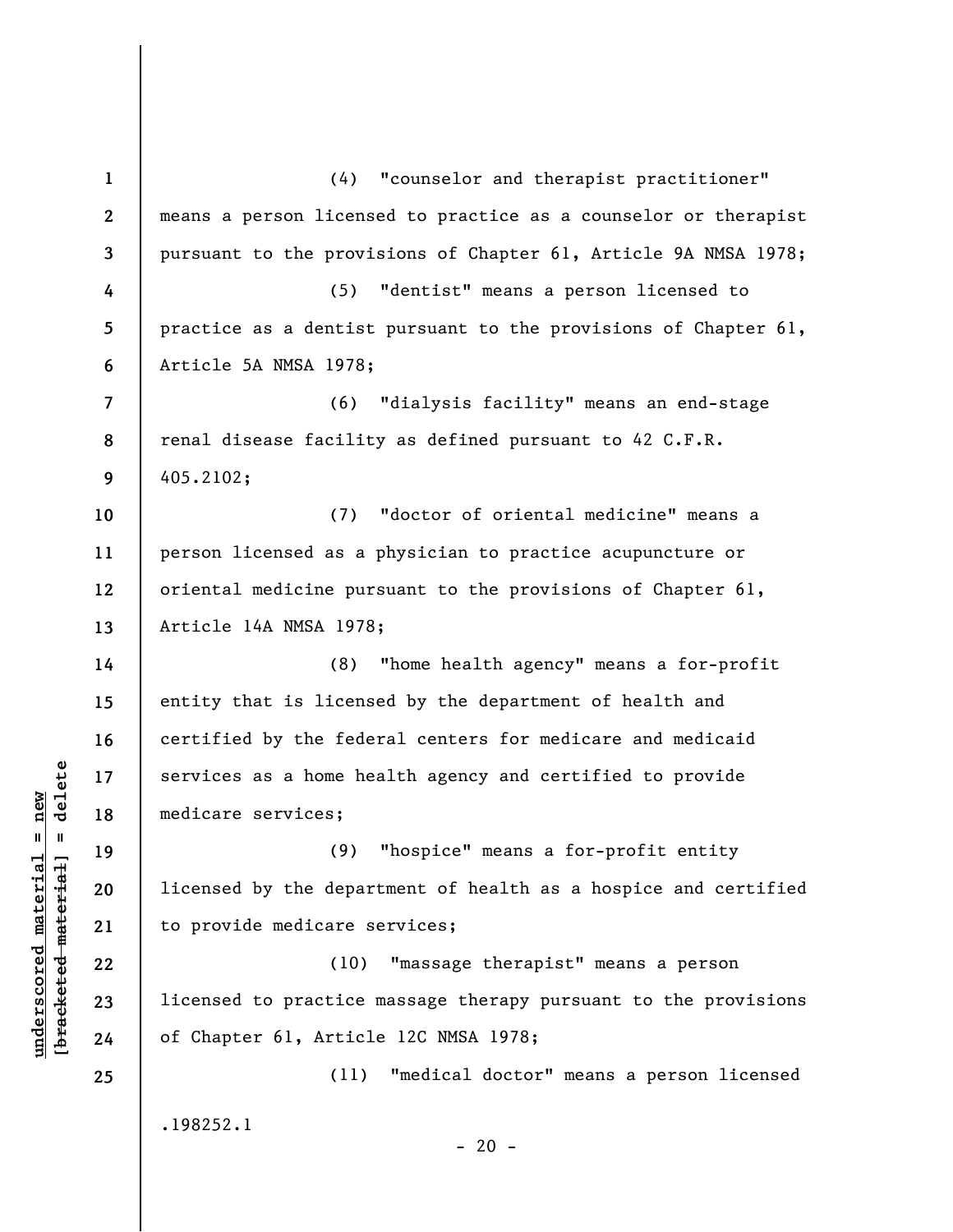**1 2 3 4 5 6 7 8 9 10 11 12 13 14 15 16 17 18 19 20 21 22 23 24 25**  (4) "counselor and therapist practitioner" means a person licensed to practice as a counselor or therapist pursuant to the provisions of Chapter 61, Article 9A NMSA 1978; (5) "dentist" means a person licensed to practice as a dentist pursuant to the provisions of Chapter 61, Article 5A NMSA 1978; (6) "dialysis facility" means an end-stage renal disease facility as defined pursuant to 42 C.F.R. 405.2102; (7) "doctor of oriental medicine" means a person licensed as a physician to practice acupuncture or oriental medicine pursuant to the provisions of Chapter 61, Article 14A NMSA 1978; (8) "home health agency" means a for-profit entity that is licensed by the department of health and certified by the federal centers for medicare and medicaid services as a home health agency and certified to provide medicare services; (9) "hospice" means a for-profit entity licensed by the department of health as a hospice and certified to provide medicare services; (10) "massage therapist" means a person licensed to practice massage therapy pursuant to the provisions of Chapter 61, Article 12C NMSA 1978; (11) "medical doctor" means a person licensed .198252.1  $- 20 -$ 

**underscored material = new [bracketed material] = delete**

 $\frac{1}{2}$  intereted material = delete  $underscored material = new$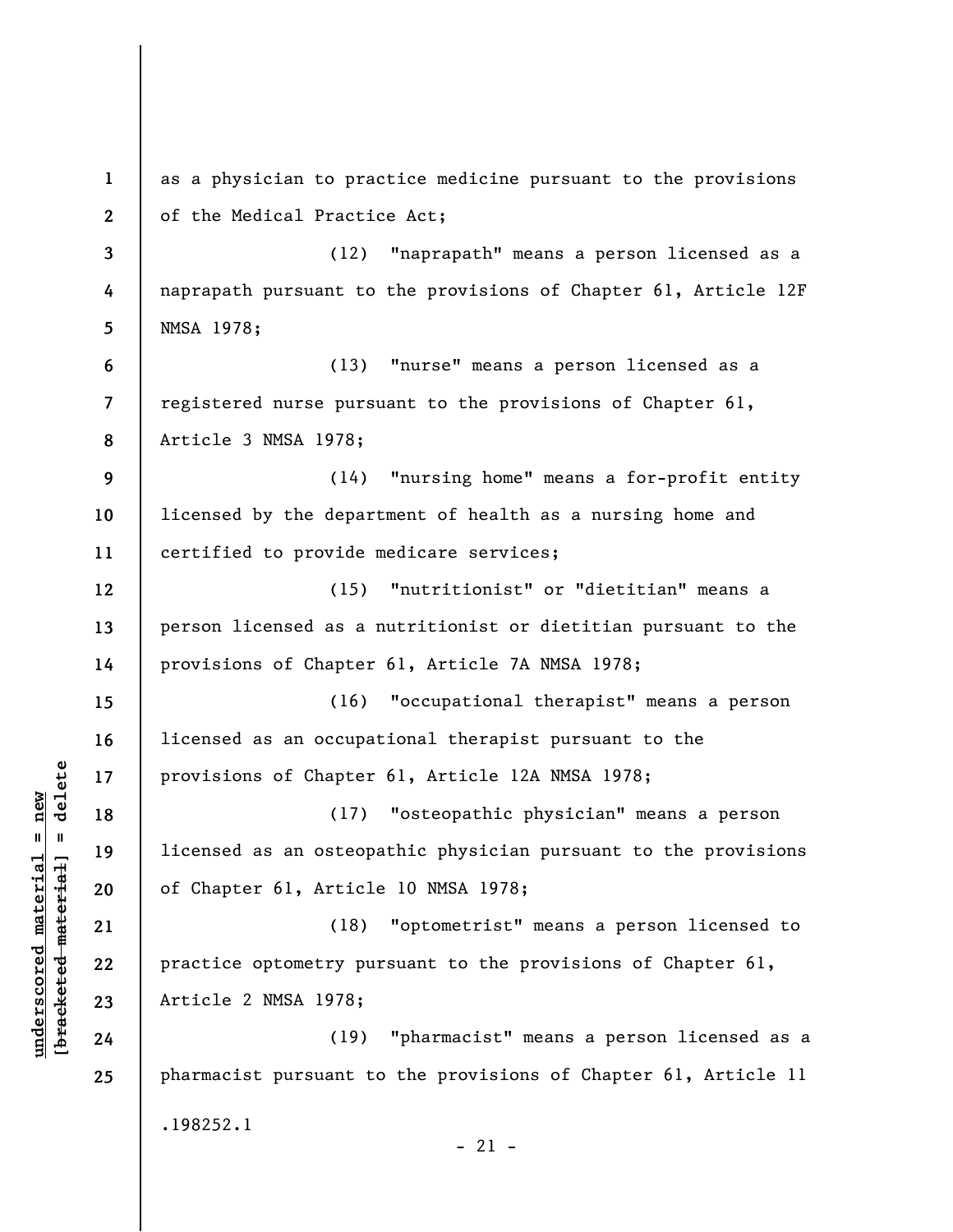| $\mathbf{1}$             | as a physician to practice medicine pursuant to the provisions  |  |  |  |
|--------------------------|-----------------------------------------------------------------|--|--|--|
| $\mathbf{2}$             | of the Medical Practice Act;                                    |  |  |  |
| 3                        | (12) "naprapath" means a person licensed as a                   |  |  |  |
| 4                        | naprapath pursuant to the provisions of Chapter 61, Article 12F |  |  |  |
| 5                        | NMSA 1978;                                                      |  |  |  |
| 6                        | (13) "nurse" means a person licensed as a                       |  |  |  |
| $\overline{\phantom{a}}$ | registered nurse pursuant to the provisions of Chapter 61,      |  |  |  |
| 8                        | Article 3 NMSA 1978;                                            |  |  |  |
| 9                        | (14) "nursing home" means a for-profit entity                   |  |  |  |
| 10                       | licensed by the department of health as a nursing home and      |  |  |  |
| 11                       | certified to provide medicare services;                         |  |  |  |
| 12                       | (15) "nutritionist" or "dietitian" means a                      |  |  |  |
| 13                       | person licensed as a nutritionist or dietitian pursuant to the  |  |  |  |
| 14                       | provisions of Chapter 61, Article 7A NMSA 1978;                 |  |  |  |
| 15                       | (16) "occupational therapist" means a person                    |  |  |  |
| 16                       | licensed as an occupational therapist pursuant to the           |  |  |  |
| 17                       | provisions of Chapter 61, Article 12A NMSA 1978;                |  |  |  |
| 18                       | "osteopathic physician" means a person<br>(17)                  |  |  |  |
| 19                       | licensed as an osteopathic physician pursuant to the provisions |  |  |  |
| 20                       | of Chapter 61, Article 10 NMSA 1978;                            |  |  |  |
| 21                       | "optometrist" means a person licensed to<br>(18)                |  |  |  |
| 22                       | practice optometry pursuant to the provisions of Chapter 61,    |  |  |  |
| 23                       | Article 2 NMSA 1978;                                            |  |  |  |
| 24                       | (19) "pharmacist" means a person licensed as a                  |  |  |  |
| 25                       | pharmacist pursuant to the provisions of Chapter 61, Article 11 |  |  |  |
|                          | .198252.1                                                       |  |  |  |
|                          | $-21 -$                                                         |  |  |  |

**underscored material = new [bracketed material] = delete**

 $[bracketeed-materiat] = delete$  $underscored material = new$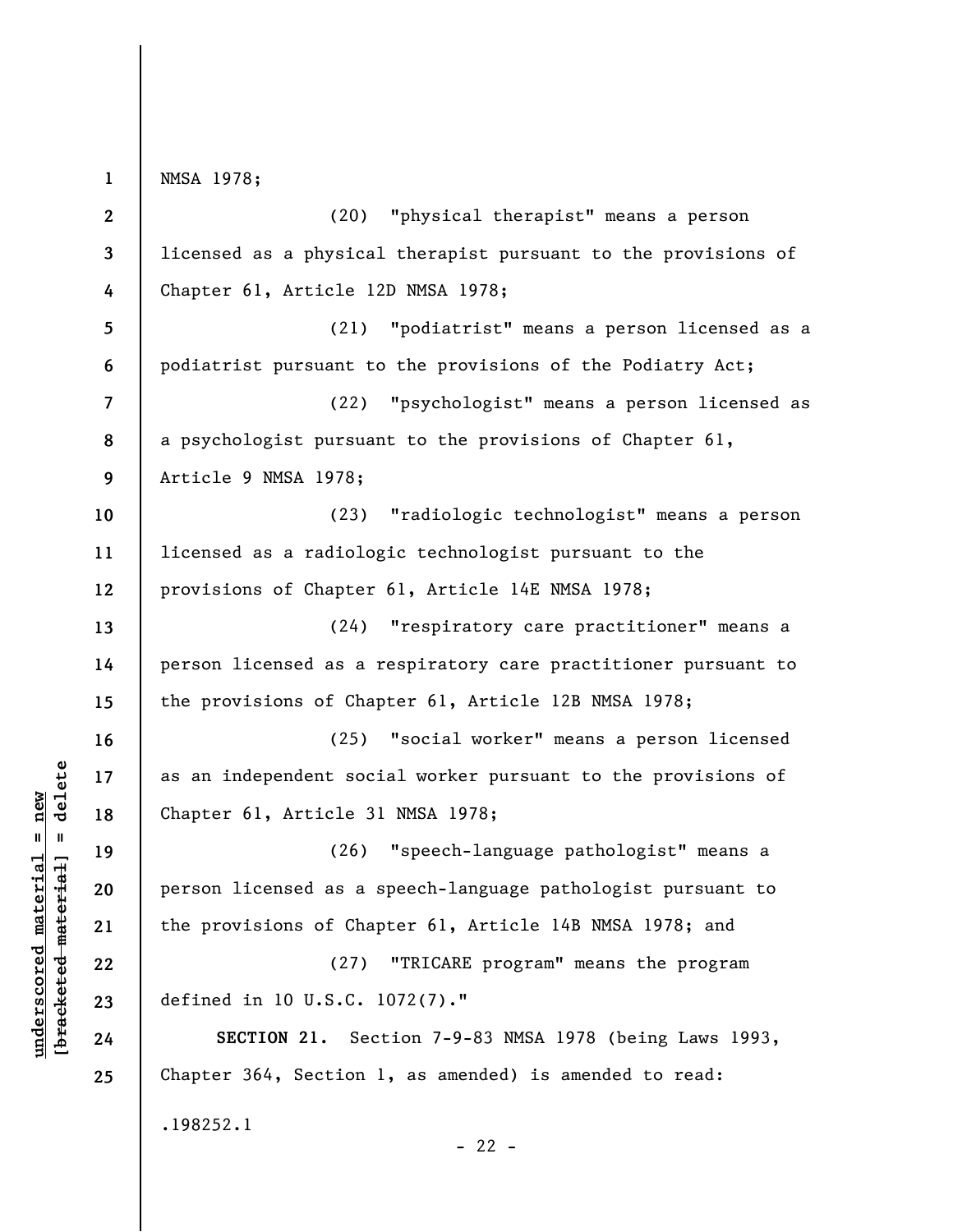NMSA 1978;

**1** 

**2 3 4 5 6 7 8 9 10 11 12 13 14 15 16 17 18 19 20 21 22 23 24 25**  (20) "physical therapist" means a person licensed as a physical therapist pursuant to the provisions of Chapter 61, Article 12D NMSA 1978; (21) "podiatrist" means a person licensed as a podiatrist pursuant to the provisions of the Podiatry Act; (22) "psychologist" means a person licensed as a psychologist pursuant to the provisions of Chapter 61, Article 9 NMSA 1978; (23) "radiologic technologist" means a person licensed as a radiologic technologist pursuant to the provisions of Chapter 61, Article 14E NMSA 1978; (24) "respiratory care practitioner" means a person licensed as a respiratory care practitioner pursuant to the provisions of Chapter 61, Article 12B NMSA 1978; (25) "social worker" means a person licensed as an independent social worker pursuant to the provisions of Chapter 61, Article 31 NMSA 1978; (26) "speech-language pathologist" means a person licensed as a speech-language pathologist pursuant to the provisions of Chapter 61, Article 14B NMSA 1978; and (27) "TRICARE program" means the program defined in 10 U.S.C. 1072(7)." **SECTION 21.** Section 7-9-83 NMSA 1978 (being Laws 1993, Chapter 364, Section 1, as amended) is amended to read: .198252.1  $- 22 -$ 

 $\frac{1}{2}$  intereted material = delete **[bracketed material] = delete**  $underscored material = new$ **underscored material = new**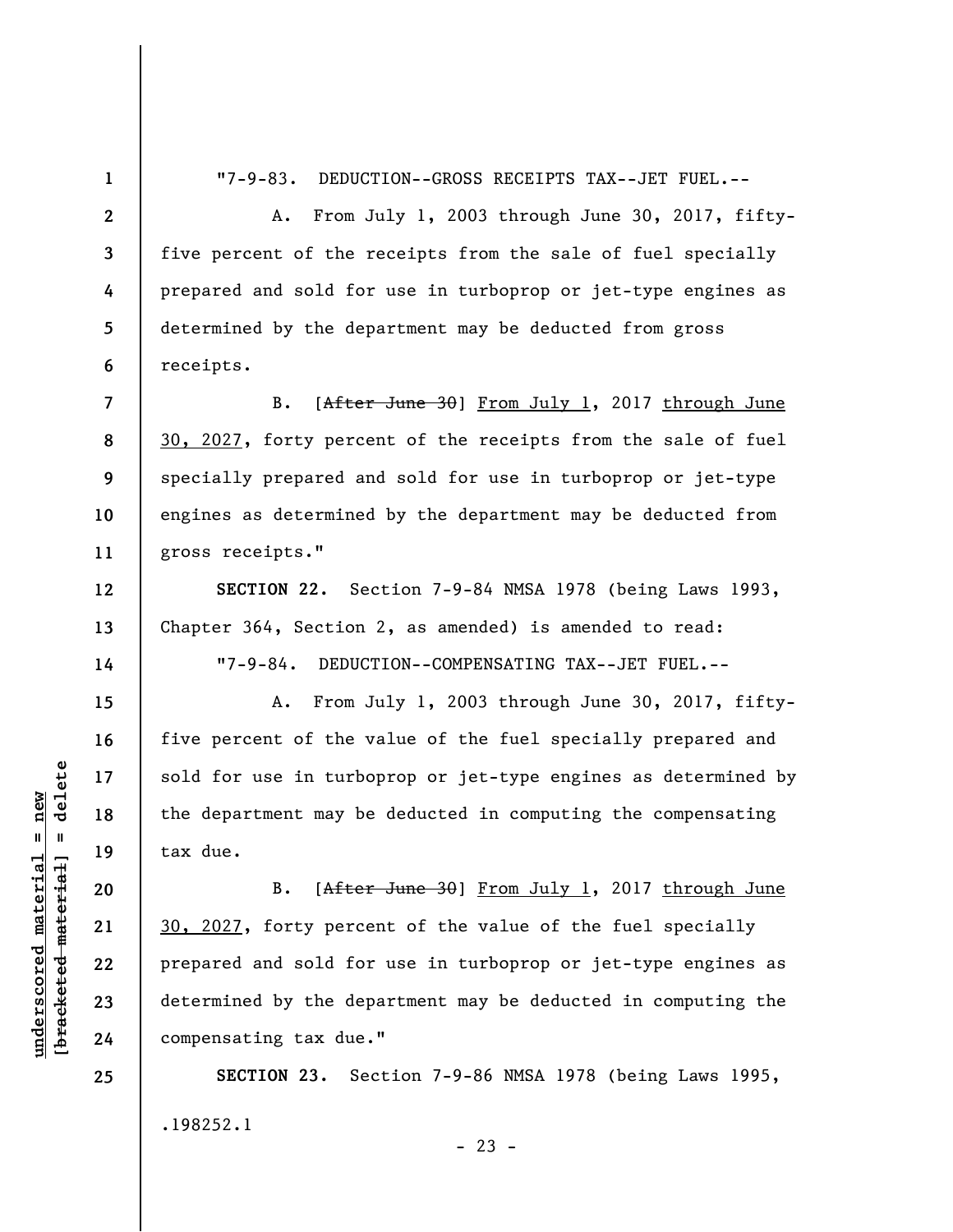**1 2** 

**4** 

**5** 

**6** 

**12** 

**13** 

**14** 

**15** 

**16** 

**17** 

**18** 

**19** 

**20** 

**21** 

**22** 

**23** 

**24** 

**25** 

"7-9-83. DEDUCTION--GROSS RECEIPTS TAX--JET FUEL.--

**3**  A. From July 1, 2003 through June 30, 2017, fiftyfive percent of the receipts from the sale of fuel specially prepared and sold for use in turboprop or jet-type engines as determined by the department may be deducted from gross receipts.

**7 8 9 10 11**  B. [After June 30] From July 1, 2017 through June 30, 2027, forty percent of the receipts from the sale of fuel specially prepared and sold for use in turboprop or jet-type engines as determined by the department may be deducted from gross receipts."

**SECTION 22.** Section 7-9-84 NMSA 1978 (being Laws 1993, Chapter 364, Section 2, as amended) is amended to read:

"7-9-84. DEDUCTION--COMPENSATING TAX--JET FUEL.--

A. From July 1, 2003 through June 30, 2017, fiftyfive percent of the value of the fuel specially prepared and sold for use in turboprop or jet-type engines as determined by the department may be deducted in computing the compensating tax due.

B. [After June 30] From July 1, 2017 through June 30, 2027, forty percent of the value of the fuel specially prepared and sold for use in turboprop or jet-type engines as determined by the department may be deducted in computing the compensating tax due."

**SECTION 23.** Section 7-9-86 NMSA 1978 (being Laws 1995, .198252.1

 $b$ racketed material] = delete **[bracketed material] = delete**  $underscored material = new$ **underscored material = new**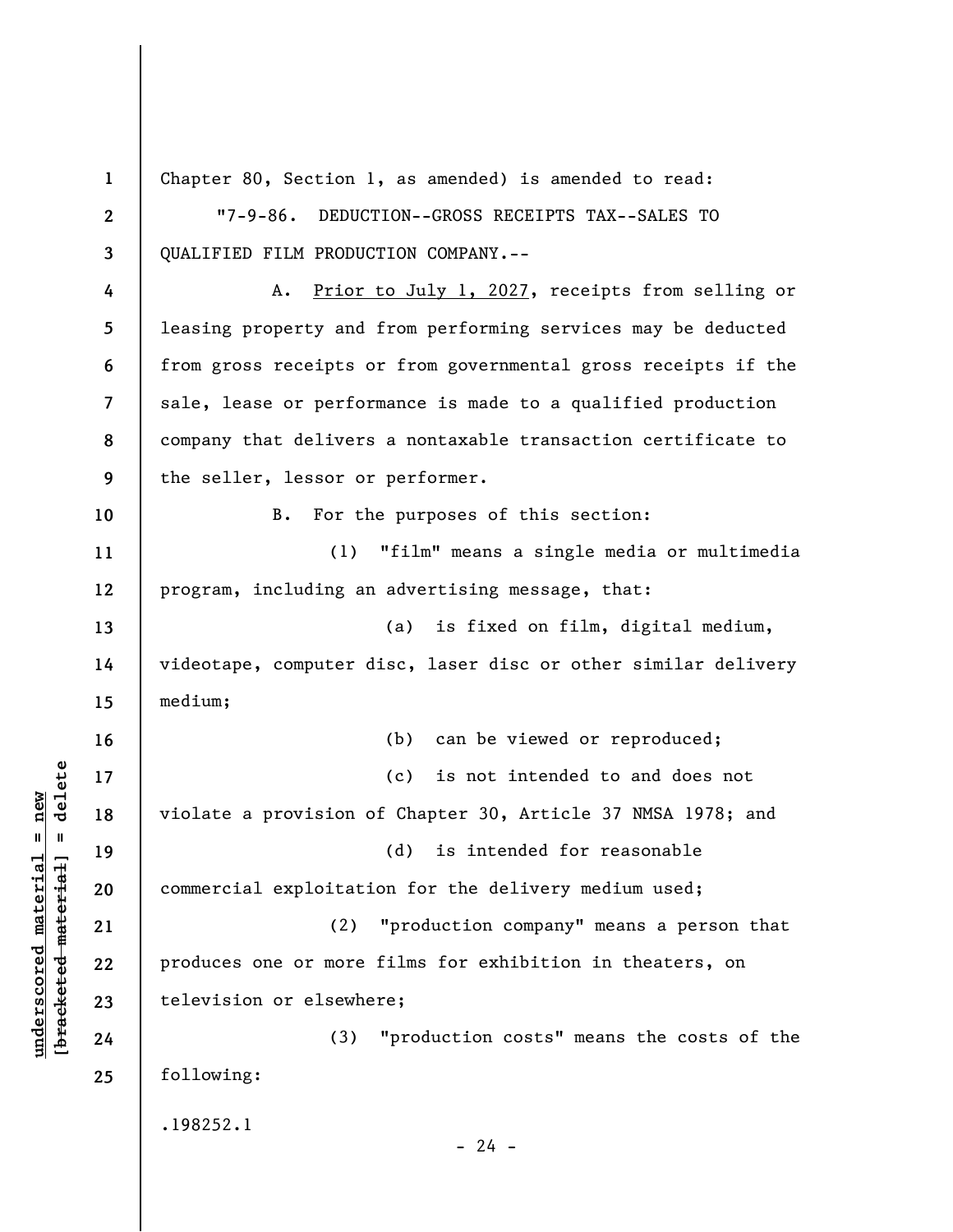**1 2 3 4 5 6 7 8 9 10 11 12 13 14 15 16 17 18 19 20 21 22 23 24 25**  Chapter 80, Section 1, as amended) is amended to read: "7-9-86. DEDUCTION--GROSS RECEIPTS TAX--SALES TO QUALIFIED FILM PRODUCTION COMPANY.-- A. Prior to July 1, 2027, receipts from selling or leasing property and from performing services may be deducted from gross receipts or from governmental gross receipts if the sale, lease or performance is made to a qualified production company that delivers a nontaxable transaction certificate to the seller, lessor or performer. B. For the purposes of this section: (1) "film" means a single media or multimedia program, including an advertising message, that: (a) is fixed on film, digital medium, videotape, computer disc, laser disc or other similar delivery medium; (b) can be viewed or reproduced; (c) is not intended to and does not violate a provision of Chapter 30, Article 37 NMSA 1978; and (d) is intended for reasonable commercial exploitation for the delivery medium used; (2) "production company" means a person that produces one or more films for exhibition in theaters, on television or elsewhere; (3) "production costs" means the costs of the following: .198252.1  $- 24 -$ 

**underscored material = new [bracketed material] = delete**

 $\frac{1}{2}$  bracketed material = delete  $underscored material = new$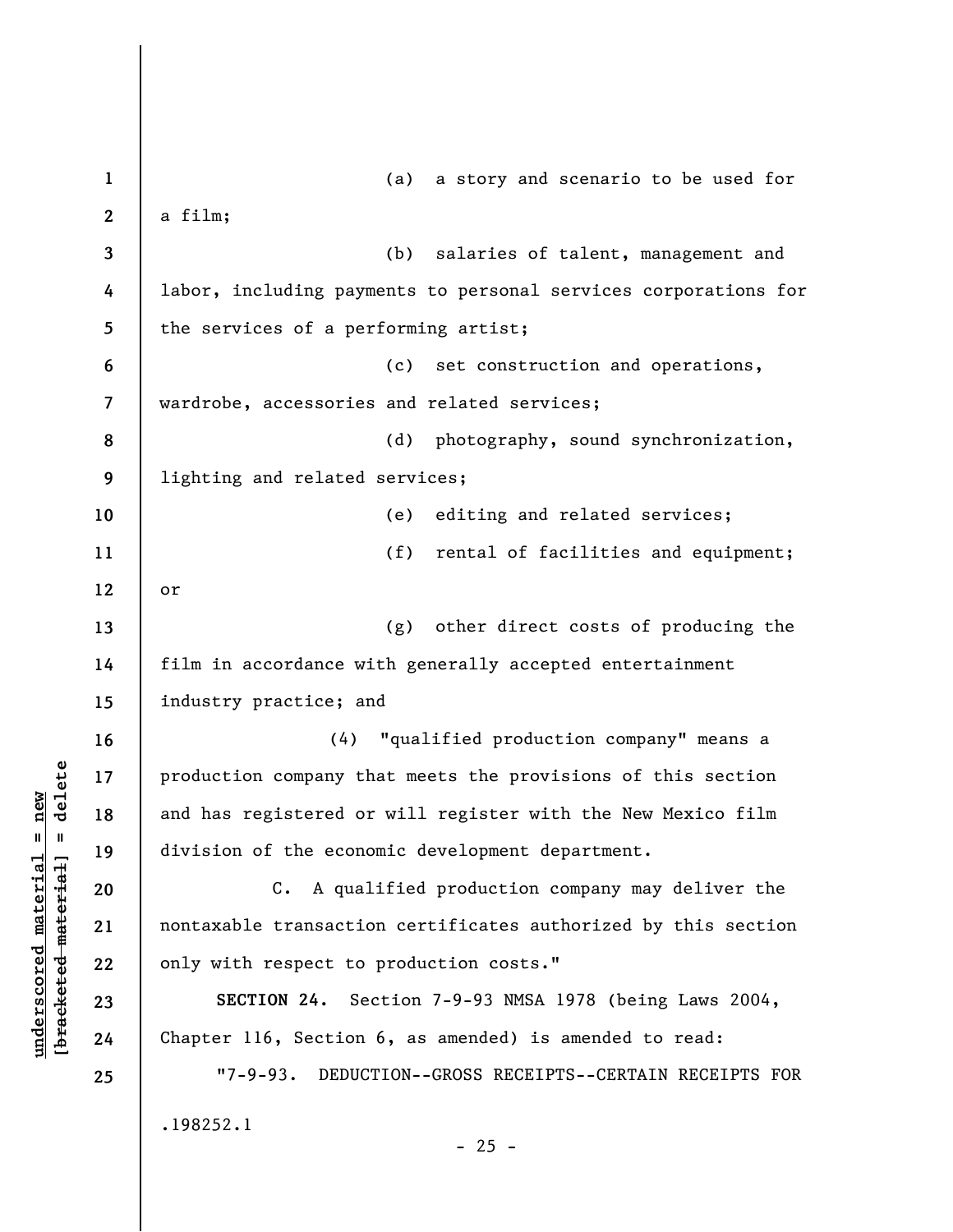| $\mathbf{1}$     | (a) a story and scenario to be used for                           |  |  |  |
|------------------|-------------------------------------------------------------------|--|--|--|
| $\boldsymbol{2}$ | a film;                                                           |  |  |  |
| 3                | salaries of talent, management and<br>(b)                         |  |  |  |
| 4                | labor, including payments to personal services corporations for   |  |  |  |
| 5                | the services of a performing artist;                              |  |  |  |
| 6                | set construction and operations,<br>(c)                           |  |  |  |
| 7                | wardrobe, accessories and related services;                       |  |  |  |
| 8                | (d) photography, sound synchronization,                           |  |  |  |
| 9                | lighting and related services;                                    |  |  |  |
| 10               | editing and related services;<br>(e)                              |  |  |  |
| 11               | (f)<br>rental of facilities and equipment;                        |  |  |  |
| 12               | or                                                                |  |  |  |
| 13               | (g) other direct costs of producing the                           |  |  |  |
| 14               | film in accordance with generally accepted entertainment          |  |  |  |
| 15               | industry practice; and                                            |  |  |  |
| 16               | (4) "qualified production company" means a                        |  |  |  |
| 17               | production company that meets the provisions of this section      |  |  |  |
| 18               | and has registered or will register with the New Mexico film      |  |  |  |
| 19               | division of the economic development department.                  |  |  |  |
| 20               | C. A qualified production company may deliver the                 |  |  |  |
| 21               | nontaxable transaction certificates authorized by this section    |  |  |  |
| 22               | only with respect to production costs."                           |  |  |  |
| 23               | SECTION 24. Section 7-9-93 NMSA 1978 (being Laws 2004,            |  |  |  |
| 24               | Chapter 116, Section 6, as amended) is amended to read:           |  |  |  |
| 25               | $"7 - 9 - 93.$<br>DEDUCTION--GROSS RECEIPTS--CERTAIN RECEIPTS FOR |  |  |  |
|                  | .198252.1                                                         |  |  |  |
|                  | $-25 -$                                                           |  |  |  |

**underscored material = new [bracketed material] = delete**

 $[bracketeed-materiat] = delete$  $underscored material = new$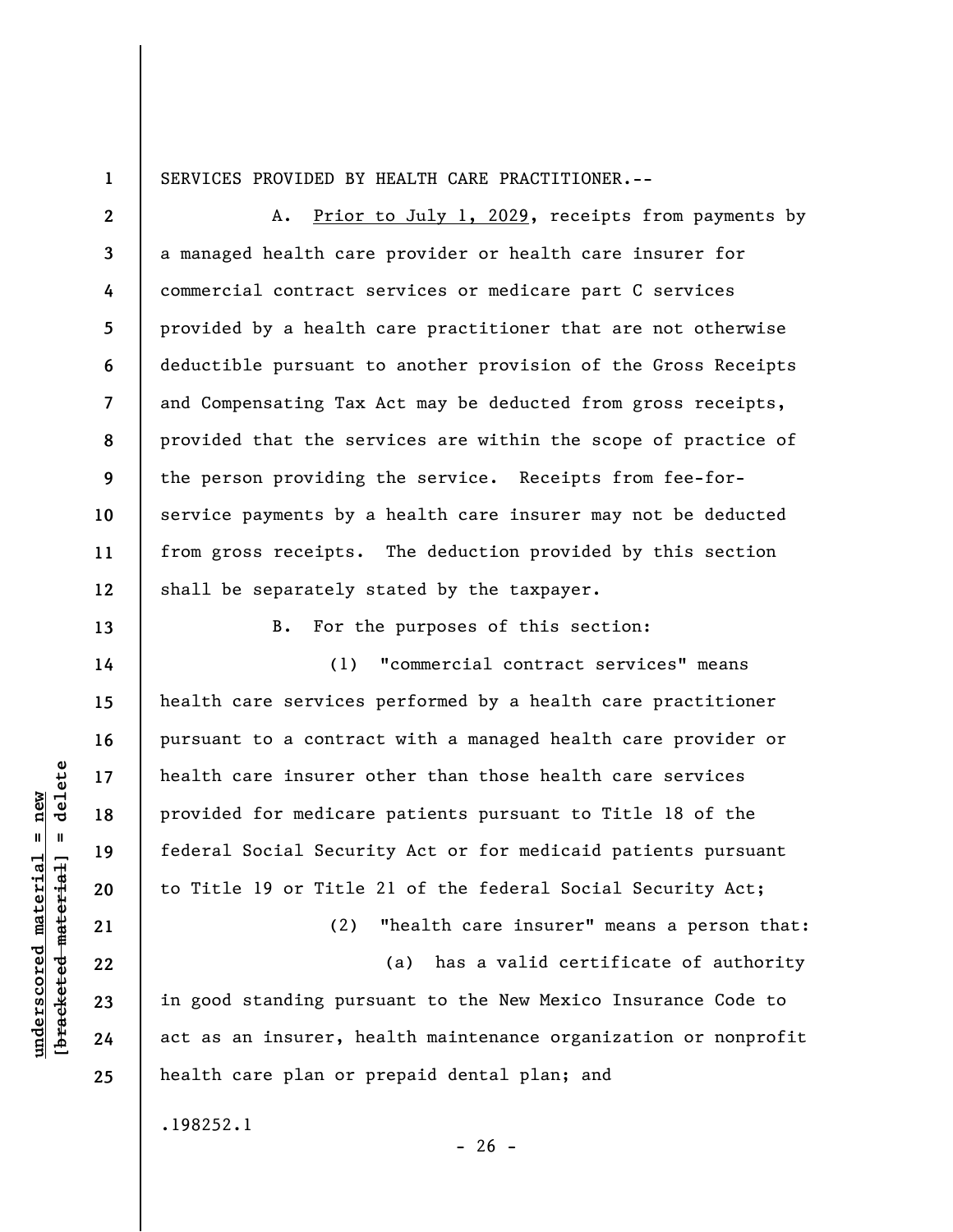**1** 

**13** 

**14** 

**15** 

**16** 

**17** 

**18** 

**19** 

**20** 

**21** 

**22** 

**23** 

**24** 

**25** 

SERVICES PROVIDED BY HEALTH CARE PRACTITIONER.--

**2 3 4 5 6 7 8 9 10 11 12**  A. Prior to July 1, 2029, receipts from payments by a managed health care provider or health care insurer for commercial contract services or medicare part C services provided by a health care practitioner that are not otherwise deductible pursuant to another provision of the Gross Receipts and Compensating Tax Act may be deducted from gross receipts, provided that the services are within the scope of practice of the person providing the service. Receipts from fee-forservice payments by a health care insurer may not be deducted from gross receipts. The deduction provided by this section shall be separately stated by the taxpayer.

B. For the purposes of this section:

(1) "commercial contract services" means health care services performed by a health care practitioner pursuant to a contract with a managed health care provider or health care insurer other than those health care services provided for medicare patients pursuant to Title 18 of the federal Social Security Act or for medicaid patients pursuant to Title 19 or Title 21 of the federal Social Security Act;

(2) "health care insurer" means a person that:

(a) has a valid certificate of authority in good standing pursuant to the New Mexico Insurance Code to act as an insurer, health maintenance organization or nonprofit health care plan or prepaid dental plan; and

 $- 26 -$ 

.198252.1

 $\frac{1}{2}$  bracketed material = delete **[bracketed material] = delete**  $anderscored material = new$ **underscored material = new**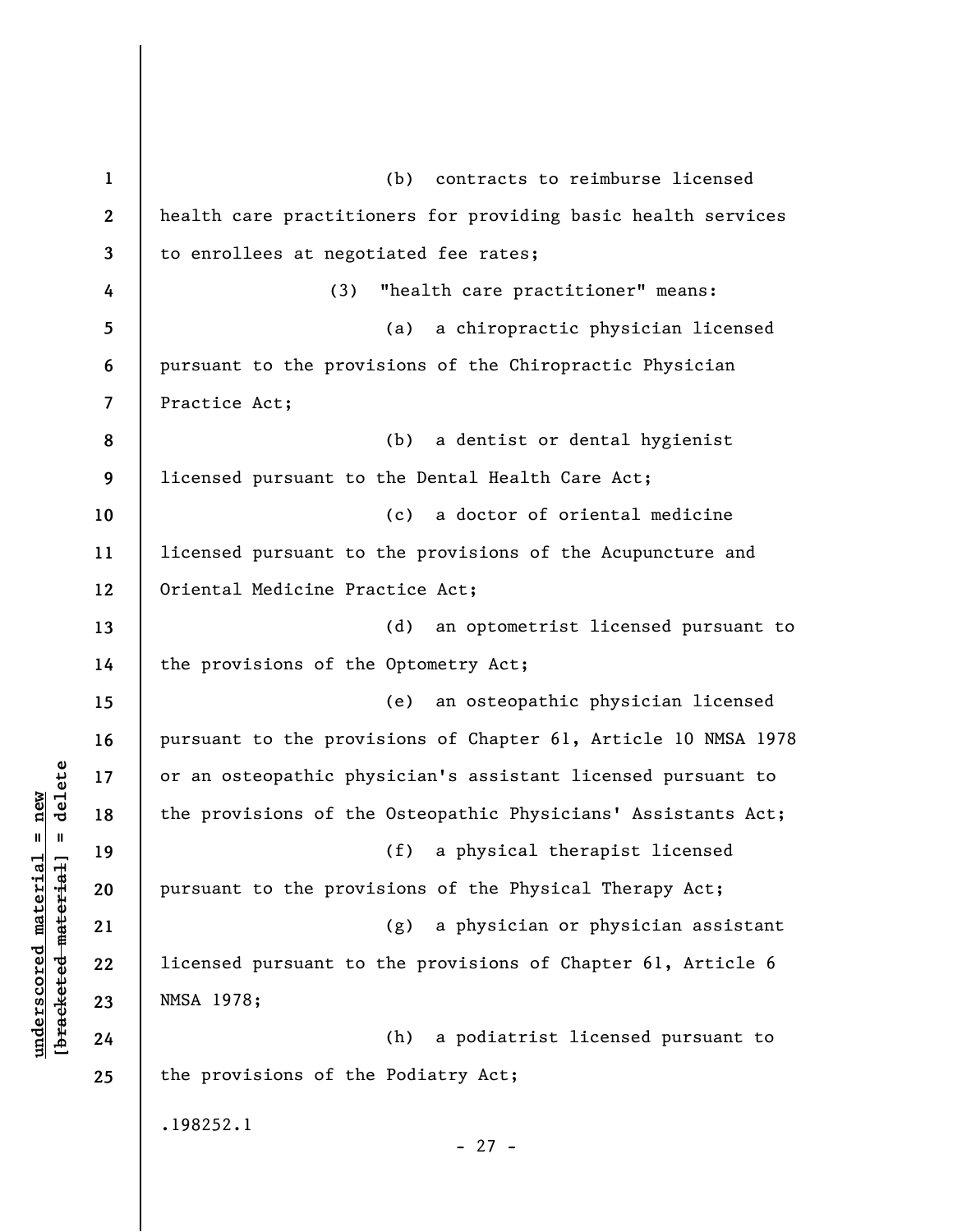**1 2 3 4 5 6 7 8 9 10 11 12 13 14 15 16 17 18 19 20 21 22 23 24 25**  (b) contracts to reimburse licensed health care practitioners for providing basic health services to enrollees at negotiated fee rates; (3) "health care practitioner" means: (a) a chiropractic physician licensed pursuant to the provisions of the Chiropractic Physician Practice Act; (b) a dentist or dental hygienist licensed pursuant to the Dental Health Care Act; (c) a doctor of oriental medicine licensed pursuant to the provisions of the Acupuncture and Oriental Medicine Practice Act; (d) an optometrist licensed pursuant to the provisions of the Optometry Act; (e) an osteopathic physician licensed pursuant to the provisions of Chapter 61, Article 10 NMSA 1978 or an osteopathic physician's assistant licensed pursuant to the provisions of the Osteopathic Physicians' Assistants Act; (f) a physical therapist licensed pursuant to the provisions of the Physical Therapy Act; (g) a physician or physician assistant licensed pursuant to the provisions of Chapter 61, Article 6 NMSA 1978; (h) a podiatrist licensed pursuant to the provisions of the Podiatry Act; .198252.1 - 27 -

**underscored material = new [bracketed material] = delete**

 $b$ racketed material] = delete  $underscored material = new$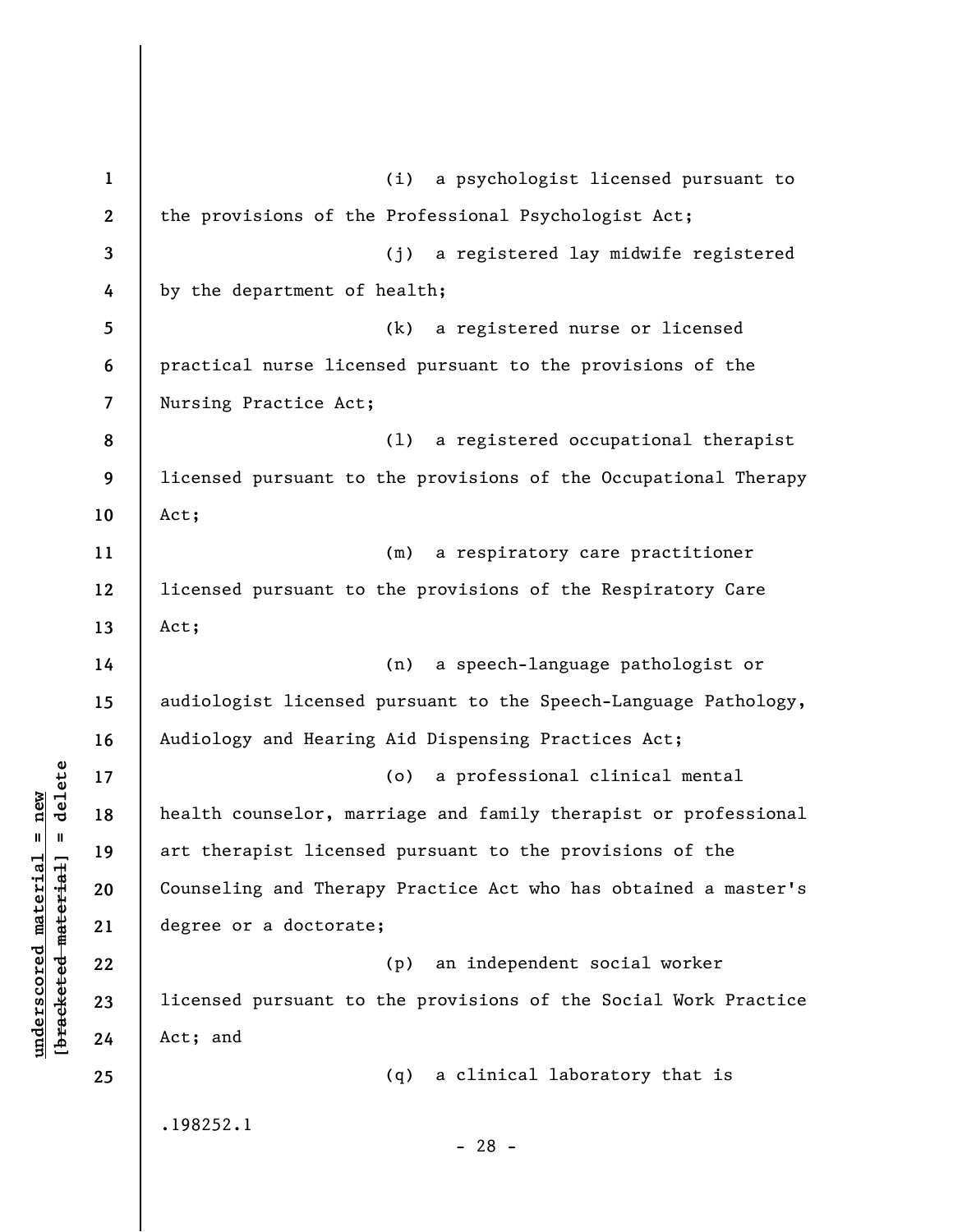**1 2 3 4 5 6 7 8 9 10 11 12 13 14 15 16 17 18 19 20 21 22 23 24 25**  (i) a psychologist licensed pursuant to the provisions of the Professional Psychologist Act; (j) a registered lay midwife registered by the department of health; (k) a registered nurse or licensed practical nurse licensed pursuant to the provisions of the Nursing Practice Act; (l) a registered occupational therapist licensed pursuant to the provisions of the Occupational Therapy Act; (m) a respiratory care practitioner licensed pursuant to the provisions of the Respiratory Care Act; (n) a speech-language pathologist or audiologist licensed pursuant to the Speech-Language Pathology, Audiology and Hearing Aid Dispensing Practices Act; (o) a professional clinical mental health counselor, marriage and family therapist or professional art therapist licensed pursuant to the provisions of the Counseling and Therapy Practice Act who has obtained a master's degree or a doctorate; (p) an independent social worker licensed pursuant to the provisions of the Social Work Practice Act; and (q) a clinical laboratory that is .198252.1 - 28 -

**underscored material = new [bracketed material] = delete**

 $b$ racketed material] = delete  $underscored material = new$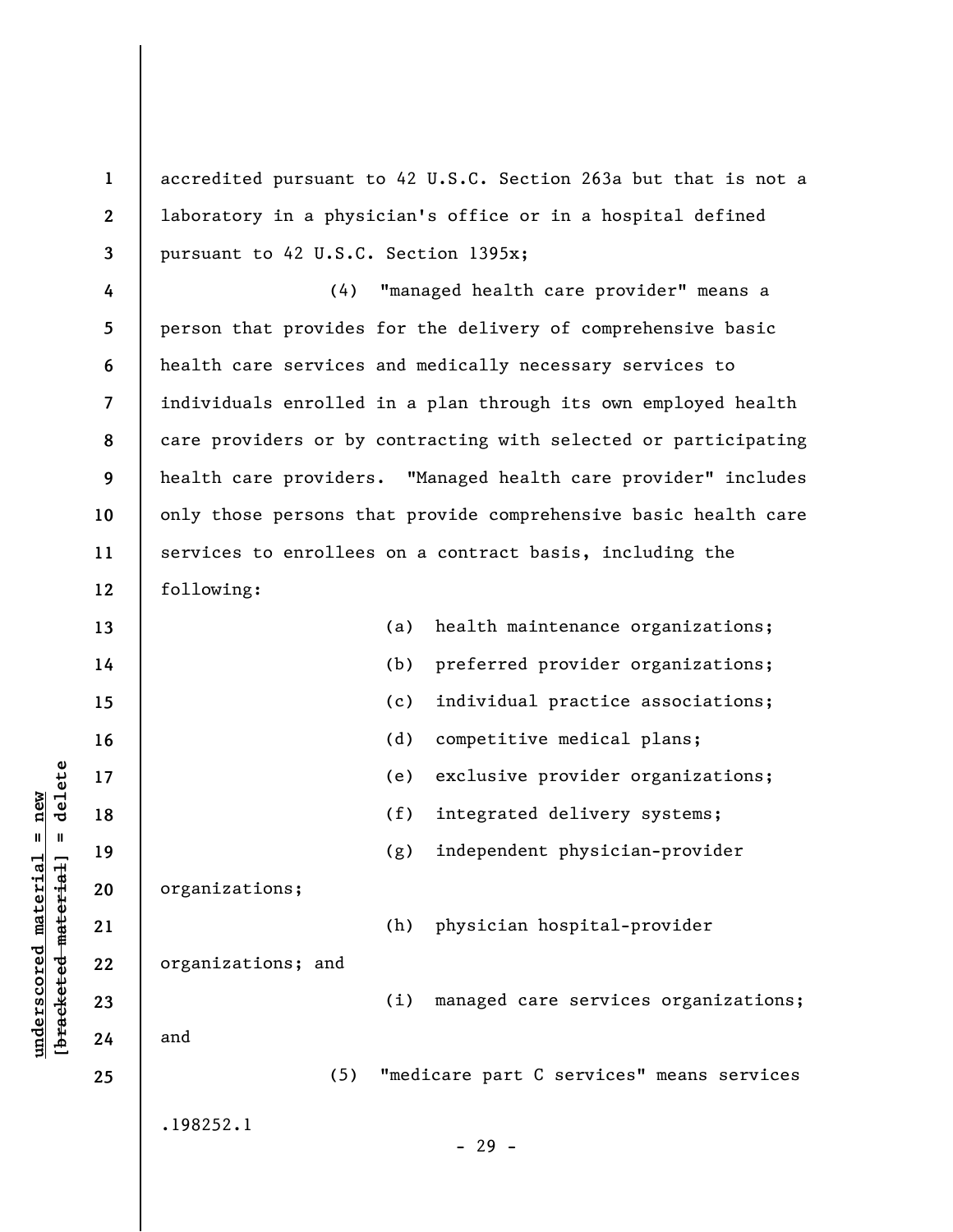**1 2 3**  accredited pursuant to 42 U.S.C. Section 263a but that is not a laboratory in a physician's office or in a hospital defined pursuant to 42 U.S.C. Section 1395x;

**4 5 6 7 8 9 10 11 12**  (4) "managed health care provider" means a person that provides for the delivery of comprehensive basic health care services and medically necessary services to individuals enrolled in a plan through its own employed health care providers or by contracting with selected or participating health care providers. "Managed health care provider" includes only those persons that provide comprehensive basic health care services to enrollees on a contract basis, including the following:

| 13 |                    | (a) | health maintenance organizations;         |
|----|--------------------|-----|-------------------------------------------|
| 14 |                    | (b) | preferred provider organizations;         |
| 15 |                    | (c) | individual practice associations;         |
| 16 |                    | (d) | competitive medical plans;                |
| 17 |                    | (e) | exclusive provider organizations;         |
| 18 |                    | (f) | integrated delivery systems;              |
| 19 |                    | (g) | independent physician-provider            |
| 20 | organizations;     |     |                                           |
| 21 |                    | (h) | physician hospital-provider               |
| 22 | organizations; and |     |                                           |
| 23 |                    | (i) | managed care services organizations;      |
| 24 | and                |     |                                           |
| 25 | (5)                |     | "medicare part C services" means services |
|    | .198252.1          |     |                                           |
|    |                    |     | $-29 -$                                   |
|    |                    |     |                                           |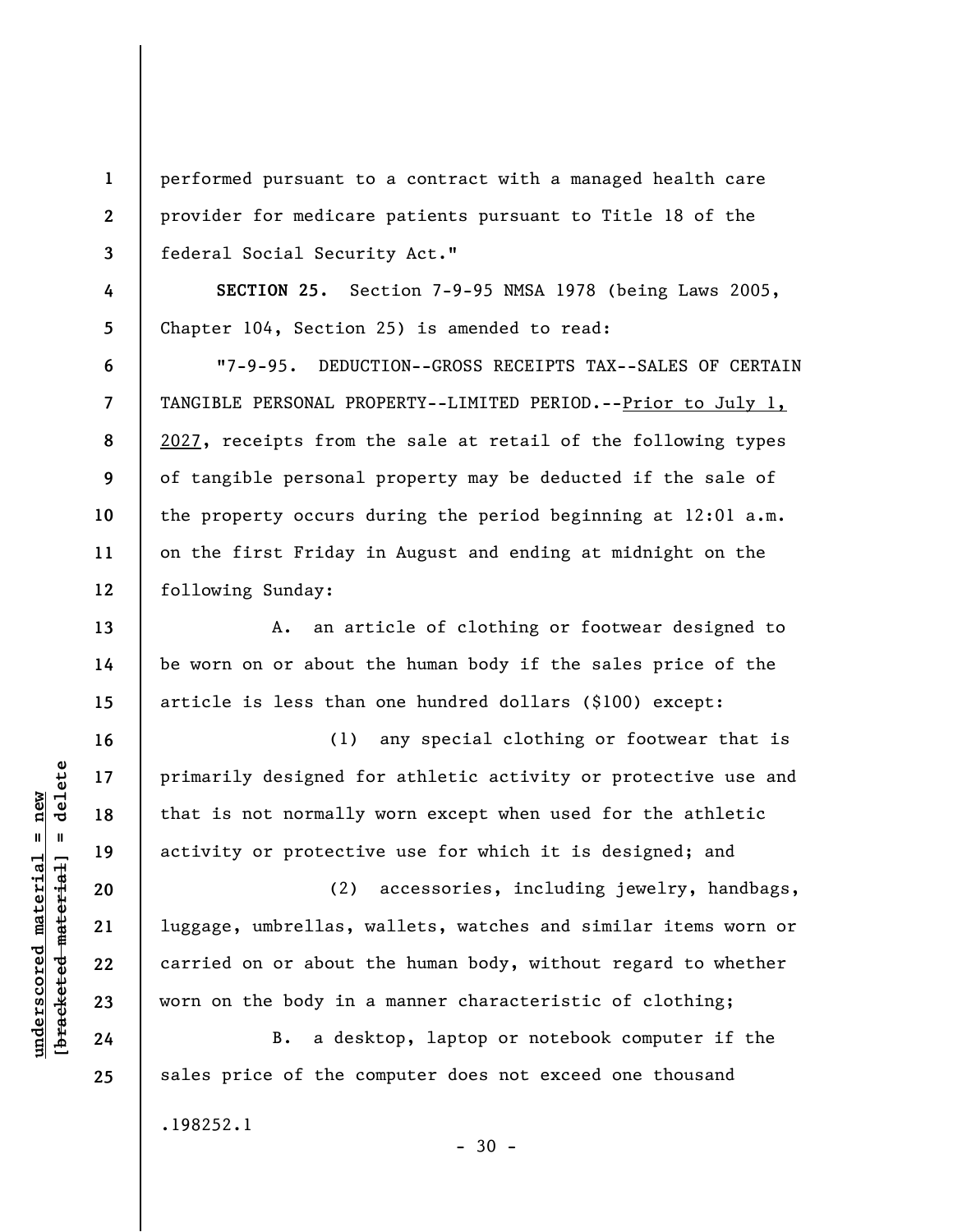performed pursuant to a contract with a managed health care provider for medicare patients pursuant to Title 18 of the federal Social Security Act."

**SECTION 25.** Section 7-9-95 NMSA 1978 (being Laws 2005, Chapter 104, Section 25) is amended to read:

"7-9-95. DEDUCTION--GROSS RECEIPTS TAX--SALES OF CERTAIN TANGIBLE PERSONAL PROPERTY--LIMITED PERIOD.--Prior to July 1, 2027, receipts from the sale at retail of the following types of tangible personal property may be deducted if the sale of the property occurs during the period beginning at 12:01 a.m. on the first Friday in August and ending at midnight on the following Sunday:

A. an article of clothing or footwear designed to be worn on or about the human body if the sales price of the article is less than one hundred dollars (\$100) except:

(1) any special clothing or footwear that is primarily designed for athletic activity or protective use and that is not normally worn except when used for the athletic activity or protective use for which it is designed; and

(2) accessories, including jewelry, handbags, luggage, umbrellas, wallets, watches and similar items worn or carried on or about the human body, without regard to whether worn on the body in a manner characteristic of clothing;

B. a desktop, laptop or notebook computer if the sales price of the computer does not exceed one thousand .198252.1

 $\frac{1}{2}$  bracketed material = delete **[bracketed material] = delete**  $underscored material = new$ **underscored material = new**

**1** 

**2** 

**3** 

**4** 

**5** 

**6** 

**7** 

**8** 

**9** 

**10** 

**11** 

**12** 

**13** 

**14** 

**15** 

**16** 

**17** 

**18** 

**19** 

**20** 

**21** 

**22** 

**23** 

**24**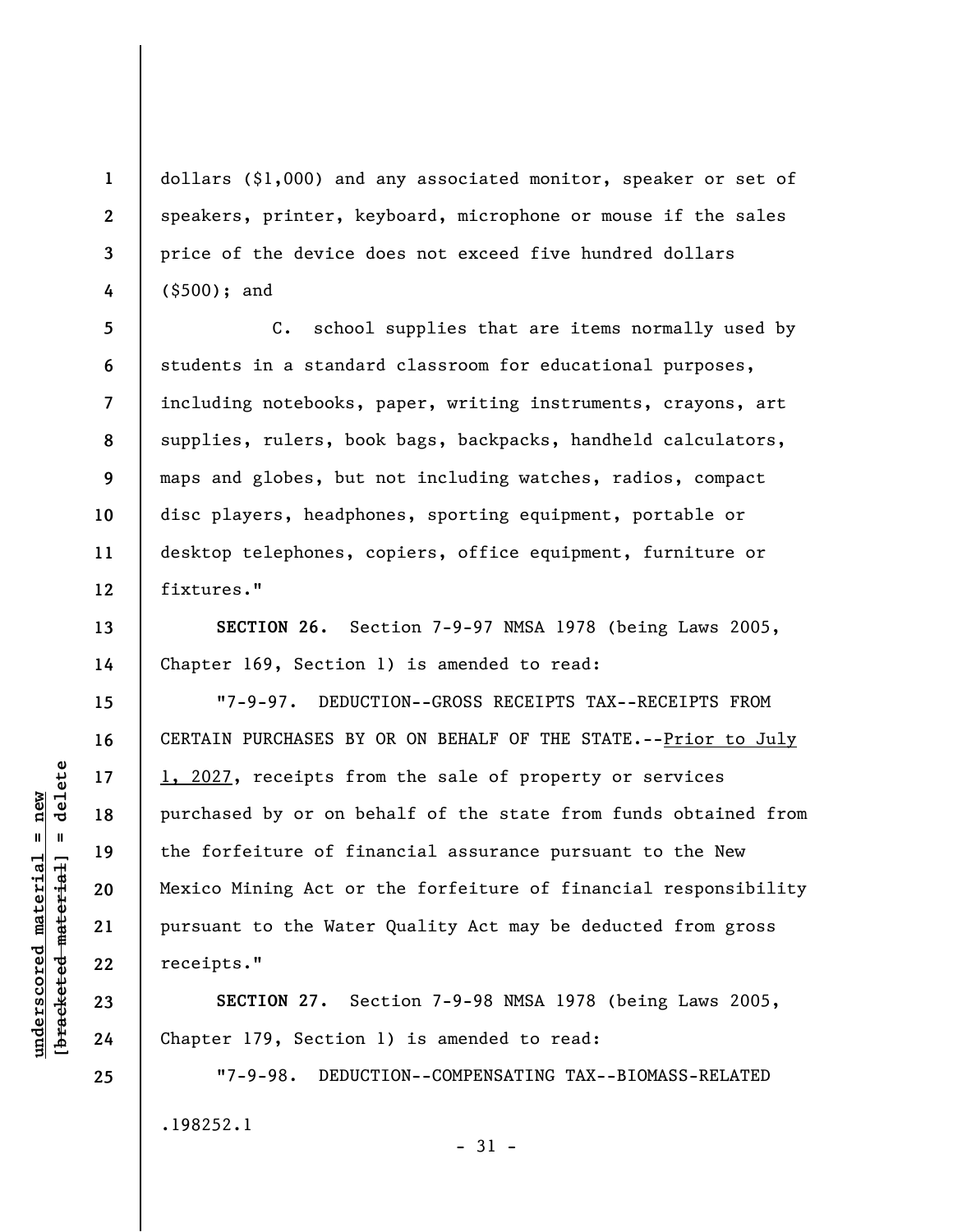dollars (\$1,000) and any associated monitor, speaker or set of speakers, printer, keyboard, microphone or mouse if the sales price of the device does not exceed five hundred dollars (\$500); and

C. school supplies that are items normally used by students in a standard classroom for educational purposes, including notebooks, paper, writing instruments, crayons, art supplies, rulers, book bags, backpacks, handheld calculators, maps and globes, but not including watches, radios, compact disc players, headphones, sporting equipment, portable or desktop telephones, copiers, office equipment, furniture or fixtures."

**SECTION 26.** Section 7-9-97 NMSA 1978 (being Laws 2005, Chapter 169, Section 1) is amended to read:

"7-9-97. DEDUCTION--GROSS RECEIPTS TAX--RECEIPTS FROM CERTAIN PURCHASES BY OR ON BEHALF OF THE STATE.--Prior to July 1, 2027, receipts from the sale of property or services purchased by or on behalf of the state from funds obtained from the forfeiture of financial assurance pursuant to the New Mexico Mining Act or the forfeiture of financial responsibility pursuant to the Water Quality Act may be deducted from gross receipts."

**SECTION 27.** Section 7-9-98 NMSA 1978 (being Laws 2005, Chapter 179, Section 1) is amended to read:

"7-9-98. DEDUCTION--COMPENSATING TAX--BIOMASS-RELATED .198252.1

- 31 -

 $b$ racketed material] = delete **[bracketed material] = delete**  $underscored material = new$ **underscored material = new**

**1** 

**2** 

**3** 

**4** 

**5** 

**6** 

**7** 

**8** 

**9** 

**10** 

**11** 

**12** 

**13** 

**14** 

**15** 

**16** 

**17** 

**18** 

**19** 

**20** 

**21** 

**22** 

**23** 

**24**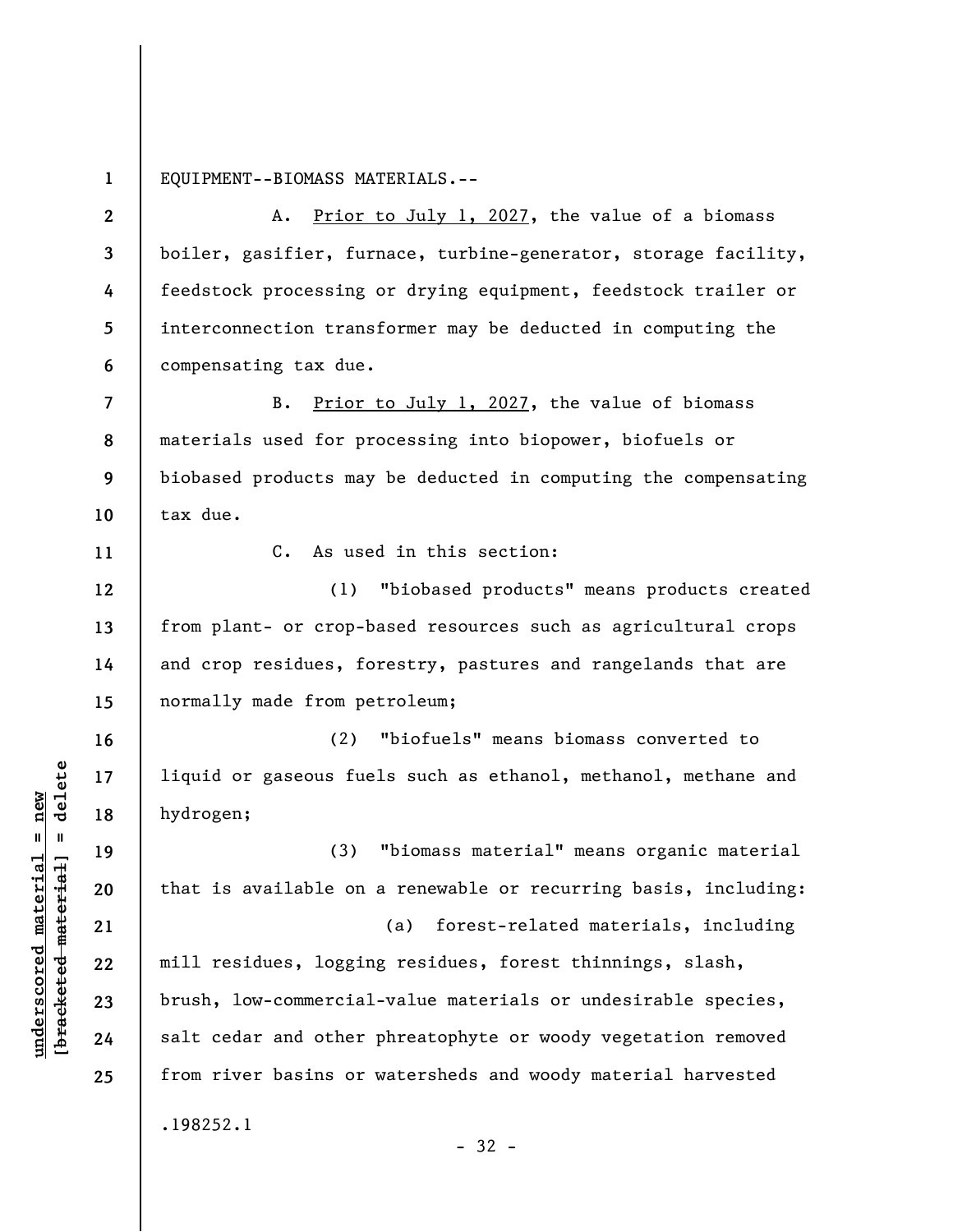**1**  EQUIPMENT--BIOMASS MATERIALS.--

**2 3 4 5 6**  A. Prior to July 1, 2027, the value of a biomass boiler, gasifier, furnace, turbine-generator, storage facility, feedstock processing or drying equipment, feedstock trailer or interconnection transformer may be deducted in computing the compensating tax due.

**7 8 9 10**  B. Prior to July 1, 2027, the value of biomass materials used for processing into biopower, biofuels or biobased products may be deducted in computing the compensating tax due.

C. As used in this section:

(1) "biobased products" means products created from plant- or crop-based resources such as agricultural crops and crop residues, forestry, pastures and rangelands that are normally made from petroleum;

(2) "biofuels" means biomass converted to liquid or gaseous fuels such as ethanol, methanol, methane and hydrogen;

(3) "biomass material" means organic material that is available on a renewable or recurring basis, including: (a) forest-related materials, including mill residues, logging residues, forest thinnings, slash,

brush, low-commercial-value materials or undesirable species, salt cedar and other phreatophyte or woody vegetation removed from river basins or watersheds and woody material harvested

- 32 -

.198252.1

 $\frac{1}{2}$  intereted material = delete **[bracketed material] = delete**  $underscored material = new$ **underscored material = new**

**11** 

**12** 

**13** 

**14** 

**15** 

**16** 

**17** 

**18** 

**19** 

**20** 

**21** 

**22** 

**23** 

**24**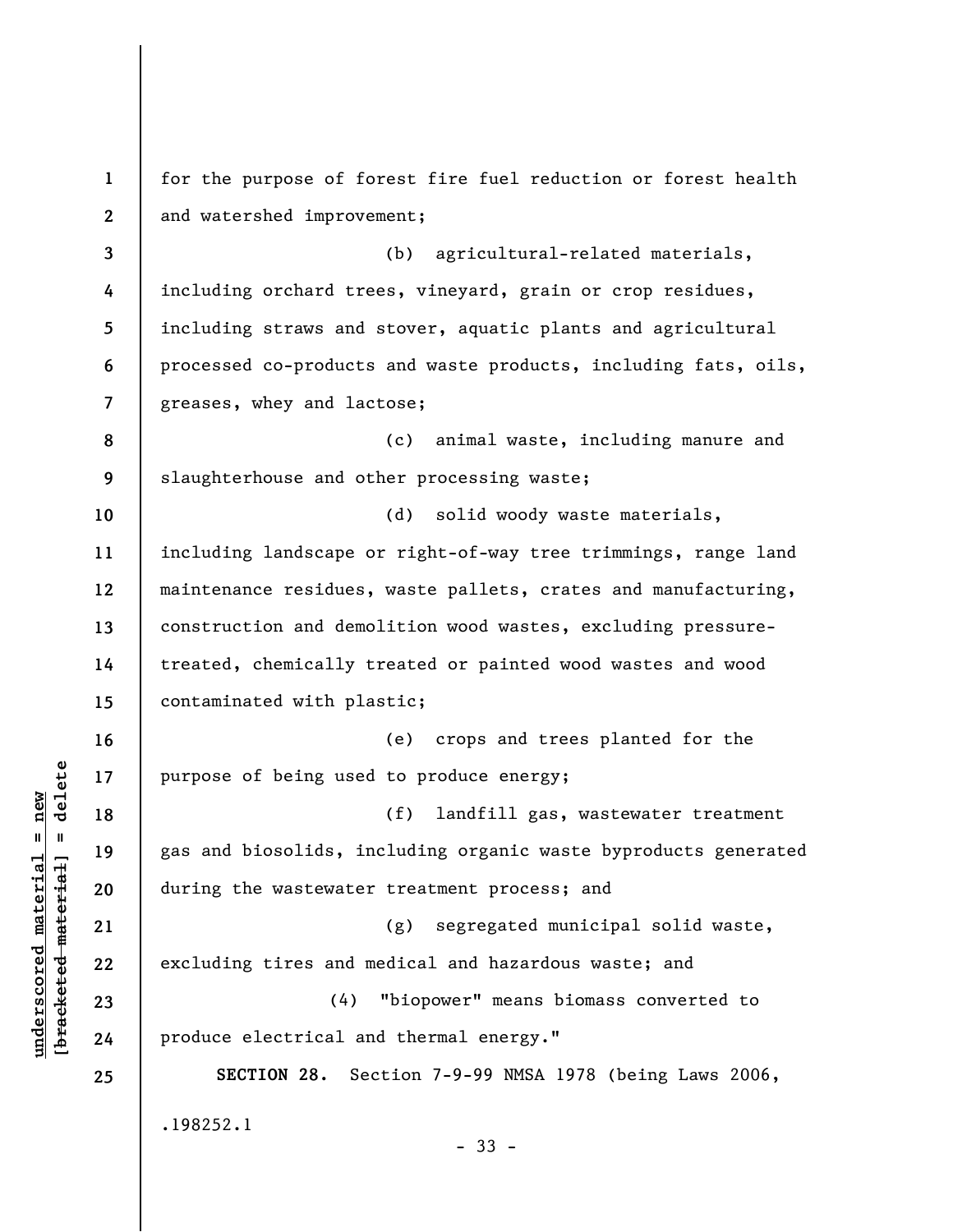**1 2 3 4 5 6 7 8 9 10 11 12 13 14 15 16 17 18 19 20 21 22 23 24 25**  for the purpose of forest fire fuel reduction or forest health and watershed improvement; (b) agricultural-related materials, including orchard trees, vineyard, grain or crop residues, including straws and stover, aquatic plants and agricultural processed co-products and waste products, including fats, oils, greases, whey and lactose; (c) animal waste, including manure and slaughterhouse and other processing waste; (d) solid woody waste materials, including landscape or right-of-way tree trimmings, range land maintenance residues, waste pallets, crates and manufacturing, construction and demolition wood wastes, excluding pressuretreated, chemically treated or painted wood wastes and wood contaminated with plastic; (e) crops and trees planted for the purpose of being used to produce energy; (f) landfill gas, wastewater treatment gas and biosolids, including organic waste byproducts generated during the wastewater treatment process; and (g) segregated municipal solid waste, excluding tires and medical and hazardous waste; and (4) "biopower" means biomass converted to produce electrical and thermal energy." **SECTION 28.** Section 7-9-99 NMSA 1978 (being Laws 2006, .198252.1 - 33 -

**underscored material = new [bracketed material] = delete**

 $\frac{1}{2}$  intereted material = delete  $underscored material = new$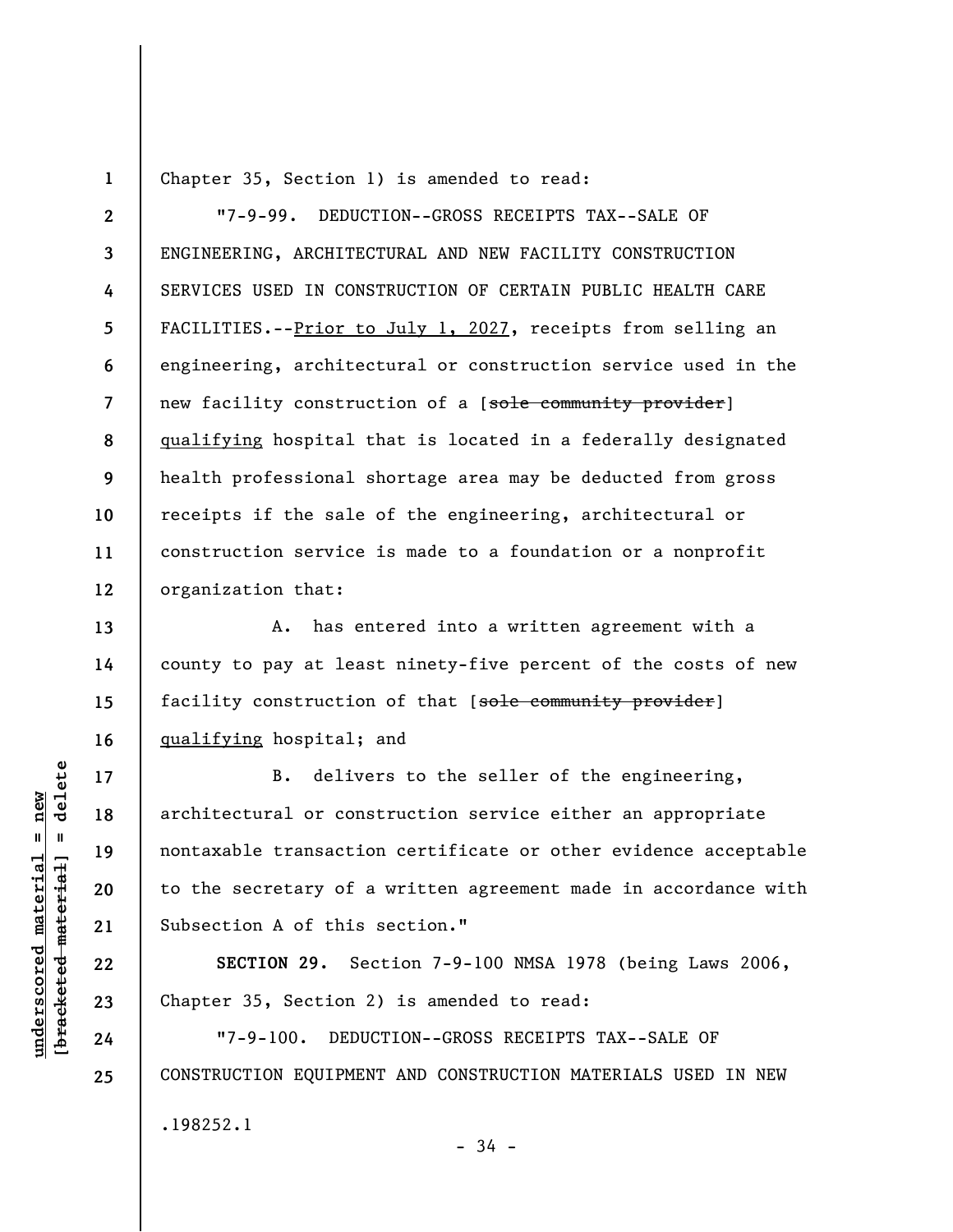Chapter 35, Section 1) is amended to read:

**2 3 4 5 6 7 8 9 10 11 12**  "7-9-99. DEDUCTION--GROSS RECEIPTS TAX--SALE OF ENGINEERING, ARCHITECTURAL AND NEW FACILITY CONSTRUCTION SERVICES USED IN CONSTRUCTION OF CERTAIN PUBLIC HEALTH CARE FACILITIES.--Prior to July 1, 2027, receipts from selling an engineering, architectural or construction service used in the new facility construction of a [sole community provider] qualifying hospital that is located in a federally designated health professional shortage area may be deducted from gross receipts if the sale of the engineering, architectural or construction service is made to a foundation or a nonprofit organization that:

A. has entered into a written agreement with a county to pay at least ninety-five percent of the costs of new facility construction of that [sole community provider] qualifying hospital; and

B. delivers to the seller of the engineering, architectural or construction service either an appropriate nontaxable transaction certificate or other evidence acceptable to the secretary of a written agreement made in accordance with Subsection A of this section."

**SECTION 29.** Section 7-9-100 NMSA 1978 (being Laws 2006, Chapter 35, Section 2) is amended to read:

"7-9-100. DEDUCTION--GROSS RECEIPTS TAX--SALE OF CONSTRUCTION EQUIPMENT AND CONSTRUCTION MATERIALS USED IN NEW .198252.1 - 34 -

delete **[bracketed material] = delete**  $underscored material = new$ **underscored material = new**  $\mathbf{u}$ bracketed material

**1** 

**13** 

**14** 

**15** 

**16** 

**17** 

**18** 

**19** 

**20** 

**21** 

**22** 

**23** 

**24**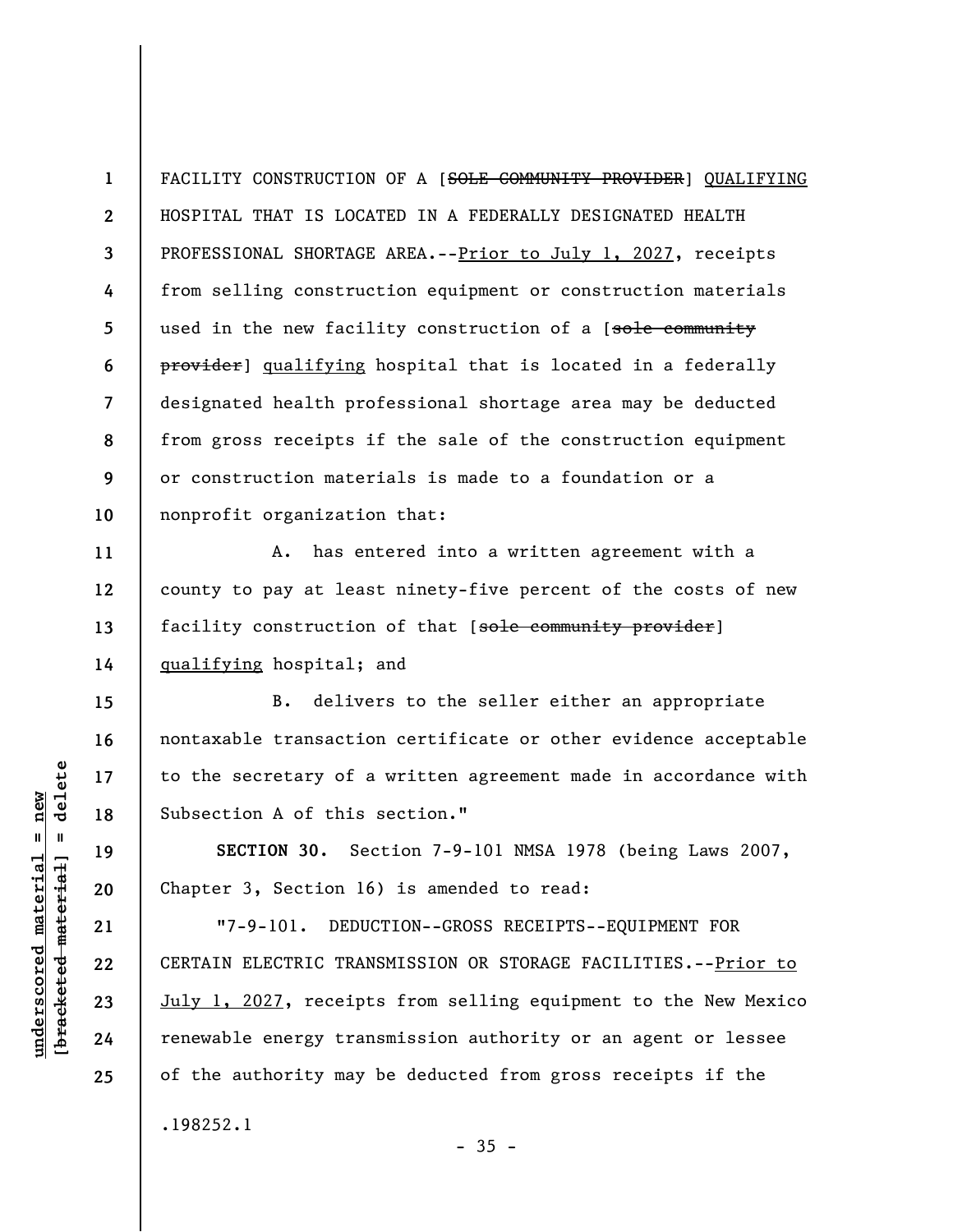**1 2 3 4 5 6 7 8 9 10**  FACILITY CONSTRUCTION OF A [SOLE COMMUNITY PROVIDER] QUALIFYING HOSPITAL THAT IS LOCATED IN A FEDERALLY DESIGNATED HEALTH PROFESSIONAL SHORTAGE AREA.--Prior to July 1, 2027, receipts from selling construction equipment or construction materials used in the new facility construction of a [sole community provider] qualifying hospital that is located in a federally designated health professional shortage area may be deducted from gross receipts if the sale of the construction equipment or construction materials is made to a foundation or a nonprofit organization that:

A. has entered into a written agreement with a county to pay at least ninety-five percent of the costs of new facility construction of that [sole community provider] qualifying hospital; and

B. delivers to the seller either an appropriate nontaxable transaction certificate or other evidence acceptable to the secretary of a written agreement made in accordance with Subsection A of this section."

**SECTION 30.** Section 7-9-101 NMSA 1978 (being Laws 2007, Chapter 3, Section 16) is amended to read:

"7-9-101. DEDUCTION--GROSS RECEIPTS--EQUIPMENT FOR CERTAIN ELECTRIC TRANSMISSION OR STORAGE FACILITIES.--Prior to July 1, 2027, receipts from selling equipment to the New Mexico renewable energy transmission authority or an agent or lessee of the authority may be deducted from gross receipts if the .198252.1

 $-35 -$ 

 $\frac{1}{2}$  of  $\frac{1}{2}$  and  $\frac{1}{2}$  and  $\frac{1}{2}$  and  $\frac{1}{2}$  and  $\frac{1}{2}$  and  $\frac{1}{2}$  and  $\frac{1}{2}$  and  $\frac{1}{2}$  and  $\frac{1}{2}$  and  $\frac{1}{2}$  and  $\frac{1}{2}$  and  $\frac{1}{2}$  and  $\frac{1}{2}$  and  $\frac{1}{2}$  and  $\frac{1}{2}$  an **[bracketed material] = delete**  $underscored material = new$ **underscored material = new**

**11** 

**12** 

**13** 

**14** 

**15** 

**16** 

**17** 

**18** 

**19** 

**20** 

**21** 

**22** 

**23** 

**24**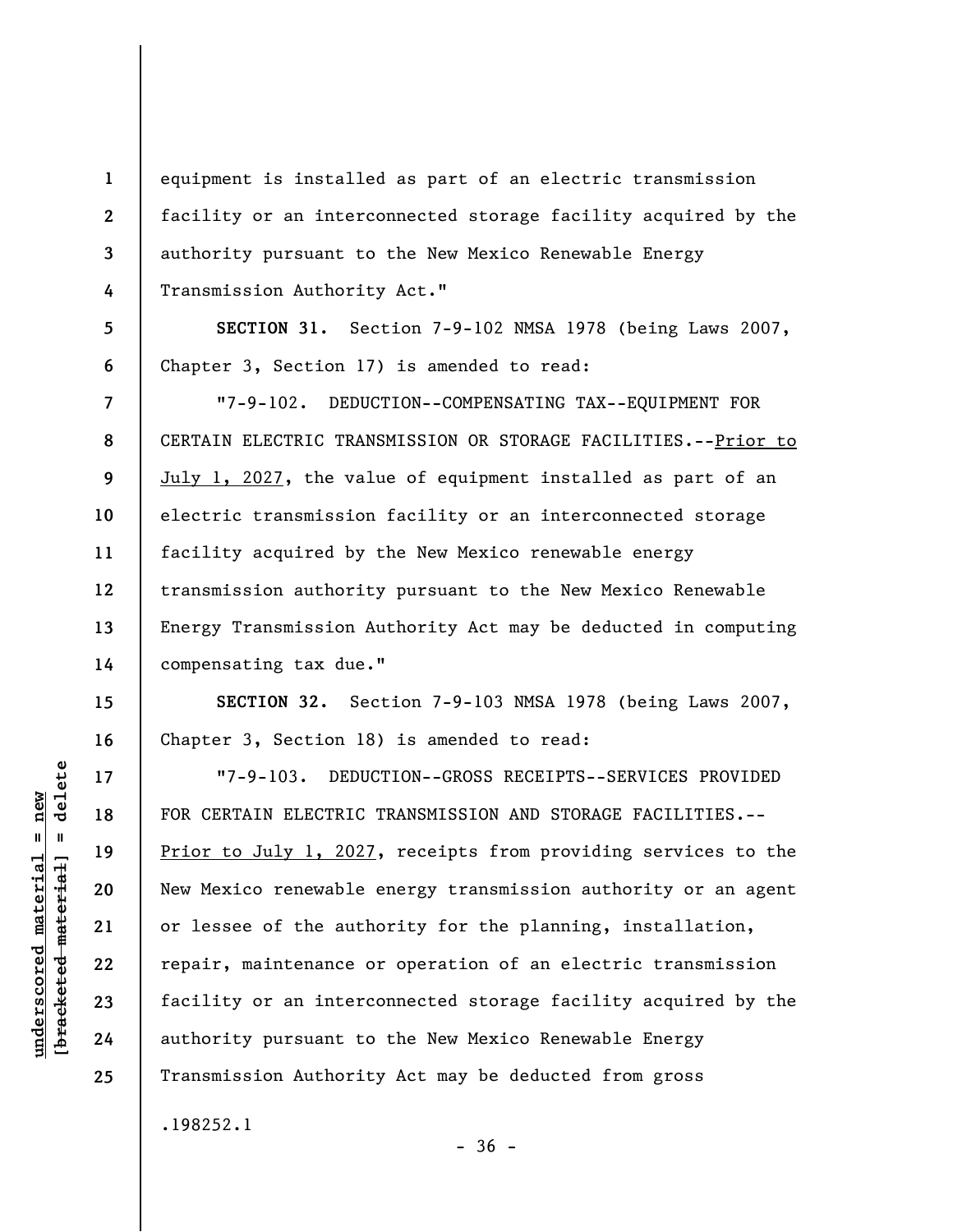equipment is installed as part of an electric transmission facility or an interconnected storage facility acquired by the authority pursuant to the New Mexico Renewable Energy Transmission Authority Act."

**SECTION 31.** Section 7-9-102 NMSA 1978 (being Laws 2007, Chapter 3, Section 17) is amended to read:

"7-9-102. DEDUCTION--COMPENSATING TAX--EQUIPMENT FOR CERTAIN ELECTRIC TRANSMISSION OR STORAGE FACILITIES. -- Prior to July 1, 2027, the value of equipment installed as part of an electric transmission facility or an interconnected storage facility acquired by the New Mexico renewable energy transmission authority pursuant to the New Mexico Renewable Energy Transmission Authority Act may be deducted in computing compensating tax due."

**SECTION 32.** Section 7-9-103 NMSA 1978 (being Laws 2007, Chapter 3, Section 18) is amended to read:

"7-9-103. DEDUCTION--GROSS RECEIPTS--SERVICES PROVIDED FOR CERTAIN ELECTRIC TRANSMISSION AND STORAGE FACILITIES.-- Prior to July 1, 2027, receipts from providing services to the New Mexico renewable energy transmission authority or an agent or lessee of the authority for the planning, installation, repair, maintenance or operation of an electric transmission facility or an interconnected storage facility acquired by the authority pursuant to the New Mexico Renewable Energy Transmission Authority Act may be deducted from gross .198252.1

 $-36 -$ 

**1** 

**2** 

**3** 

**4** 

**5** 

**6** 

**7** 

**8** 

**9** 

**10** 

**11** 

**12** 

**13** 

**14** 

**15** 

**16** 

**17** 

**18** 

**19** 

**20** 

**21** 

**22** 

**23** 

**24**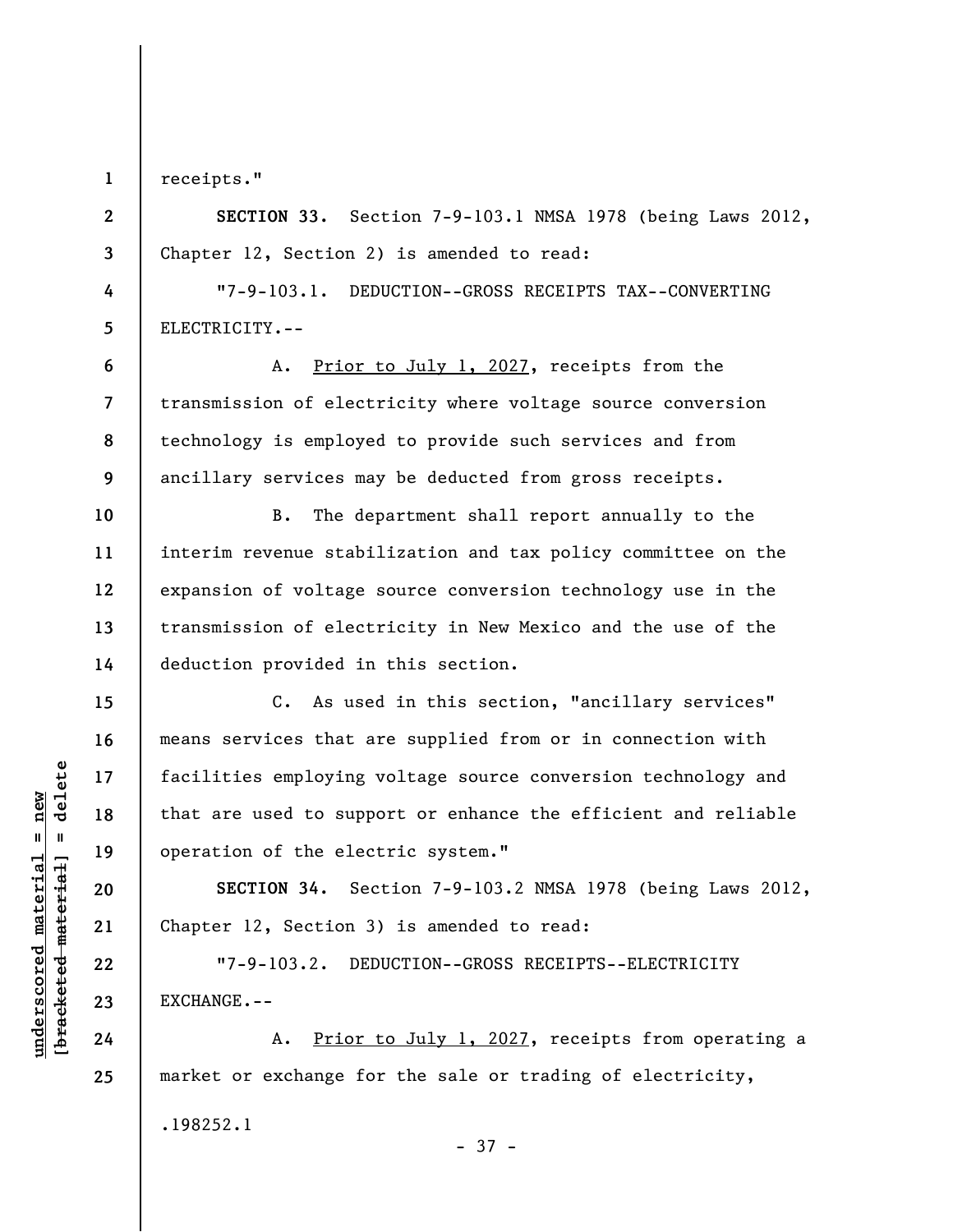**1** 

**2** 

**3** 

**4** 

**5** 

**6** 

**7** 

**8** 

**9** 

**11** 

**13** 

**14** 

**15** 

**16** 

**17** 

**18** 

**19** 

**20** 

**21** 

**22** 

**23** 

**24** 

**25** 

receipts."

**SECTION 33.** Section 7-9-103.1 NMSA 1978 (being Laws 2012, Chapter 12, Section 2) is amended to read:

"7-9-103.1. DEDUCTION--GROSS RECEIPTS TAX--CONVERTING ELECTRICITY.--

A. Prior to July 1, 2027, receipts from the transmission of electricity where voltage source conversion technology is employed to provide such services and from ancillary services may be deducted from gross receipts.

**10 12**  B. The department shall report annually to the interim revenue stabilization and tax policy committee on the expansion of voltage source conversion technology use in the transmission of electricity in New Mexico and the use of the deduction provided in this section.

C. As used in this section, "ancillary services" means services that are supplied from or in connection with facilities employing voltage source conversion technology and that are used to support or enhance the efficient and reliable operation of the electric system."

**SECTION 34.** Section 7-9-103.2 NMSA 1978 (being Laws 2012, Chapter 12, Section 3) is amended to read:

"7-9-103.2. DEDUCTION--GROSS RECEIPTS--ELECTRICITY EXCHANGE.--

A. Prior to July 1, 2027, receipts from operating a market or exchange for the sale or trading of electricity, .198252.1

 $\frac{1}{2}$  intereted material = delete **[bracketed material] = delete**  $underscored material = new$ **underscored material = new**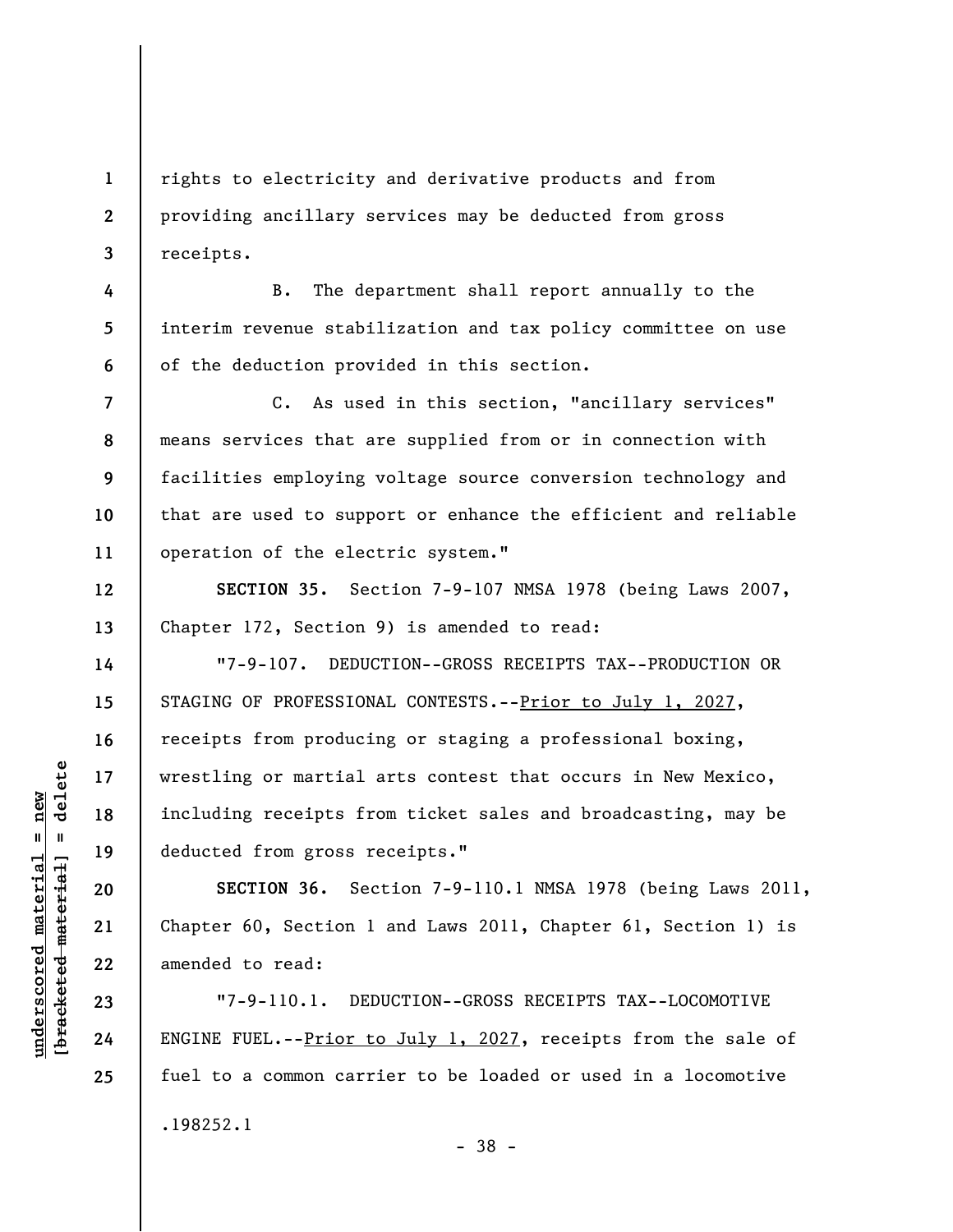rights to electricity and derivative products and from providing ancillary services may be deducted from gross receipts.

B. The department shall report annually to the interim revenue stabilization and tax policy committee on use of the deduction provided in this section.

**7 8 9 10 11**  C. As used in this section, "ancillary services" means services that are supplied from or in connection with facilities employing voltage source conversion technology and that are used to support or enhance the efficient and reliable operation of the electric system."

**SECTION 35.** Section 7-9-107 NMSA 1978 (being Laws 2007, Chapter 172, Section 9) is amended to read:

"7-9-107. DEDUCTION--GROSS RECEIPTS TAX--PRODUCTION OR STAGING OF PROFESSIONAL CONTESTS.--Prior to July 1, 2027, receipts from producing or staging a professional boxing, wrestling or martial arts contest that occurs in New Mexico, including receipts from ticket sales and broadcasting, may be deducted from gross receipts."

**SECTION 36.** Section 7-9-110.1 NMSA 1978 (being Laws 2011, Chapter 60, Section 1 and Laws 2011, Chapter 61, Section 1) is amended to read:

"7-9-110.1. DEDUCTION--GROSS RECEIPTS TAX--LOCOMOTIVE ENGINE FUEL.--Prior to July 1, 2027, receipts from the sale of fuel to a common carrier to be loaded or used in a locomotive .198252.1

 $\frac{1}{2}$  intereted material = delete **[bracketed material] = delete**  $underscored material = new$ **underscored material = new**

**1** 

**2** 

**3** 

**4** 

**5** 

**6** 

**12** 

**13** 

**14** 

**15** 

**16** 

**17** 

**18** 

**19** 

**20** 

**21** 

**22** 

**23** 

**24** 

**25** 

- 38 -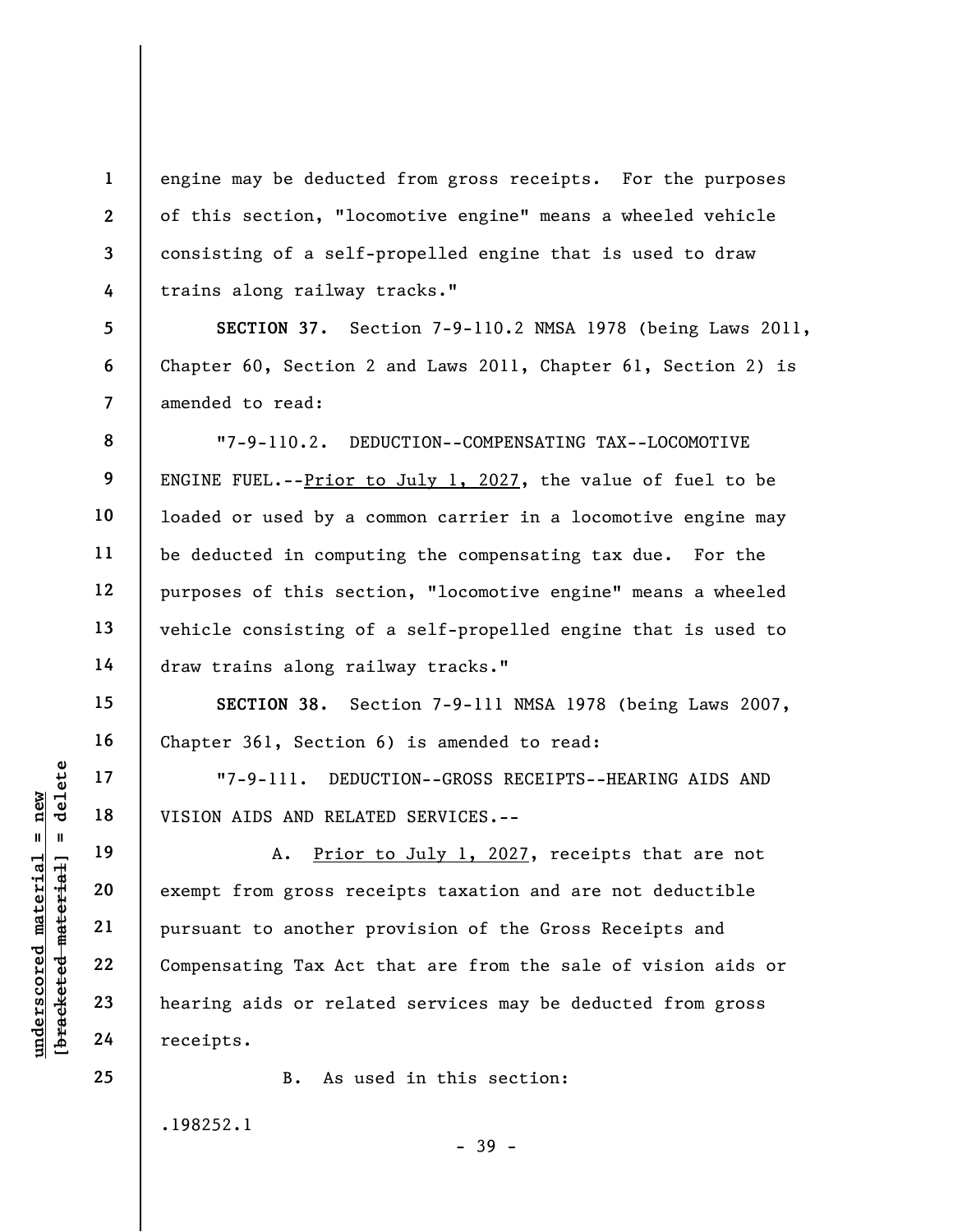engine may be deducted from gross receipts. For the purposes of this section, "locomotive engine" means a wheeled vehicle consisting of a self-propelled engine that is used to draw trains along railway tracks."

**SECTION 37.** Section 7-9-110.2 NMSA 1978 (being Laws 2011, Chapter 60, Section 2 and Laws 2011, Chapter 61, Section 2) is amended to read:

"7-9-110.2. DEDUCTION--COMPENSATING TAX--LOCOMOTIVE ENGINE FUEL.-- $Prior$  to July 1, 2027, the value of fuel to be loaded or used by a common carrier in a locomotive engine may be deducted in computing the compensating tax due. For the purposes of this section, "locomotive engine" means a wheeled vehicle consisting of a self-propelled engine that is used to draw trains along railway tracks."

**SECTION 38.** Section 7-9-111 NMSA 1978 (being Laws 2007, Chapter 361, Section 6) is amended to read:

"7-9-111. DEDUCTION--GROSS RECEIPTS--HEARING AIDS AND VISION AIDS AND RELATED SERVICES.--

A. Prior to July 1, 2027, receipts that are not exempt from gross receipts taxation and are not deductible pursuant to another provision of the Gross Receipts and Compensating Tax Act that are from the sale of vision aids or hearing aids or related services may be deducted from gross receipts.

- 39 -

B. As used in this section:

.198252.1

 $\frac{1}{2}$  intereted material = delete **[bracketed material] = delete**  $underscored material = new$ **underscored material = new**

**1** 

**2** 

**3** 

**4** 

**5** 

**6** 

**7** 

**8** 

**9** 

**10** 

**11** 

**12** 

**13** 

**14** 

**15** 

**16** 

**17** 

**18** 

**19** 

**20** 

**21** 

**22** 

**23** 

**24**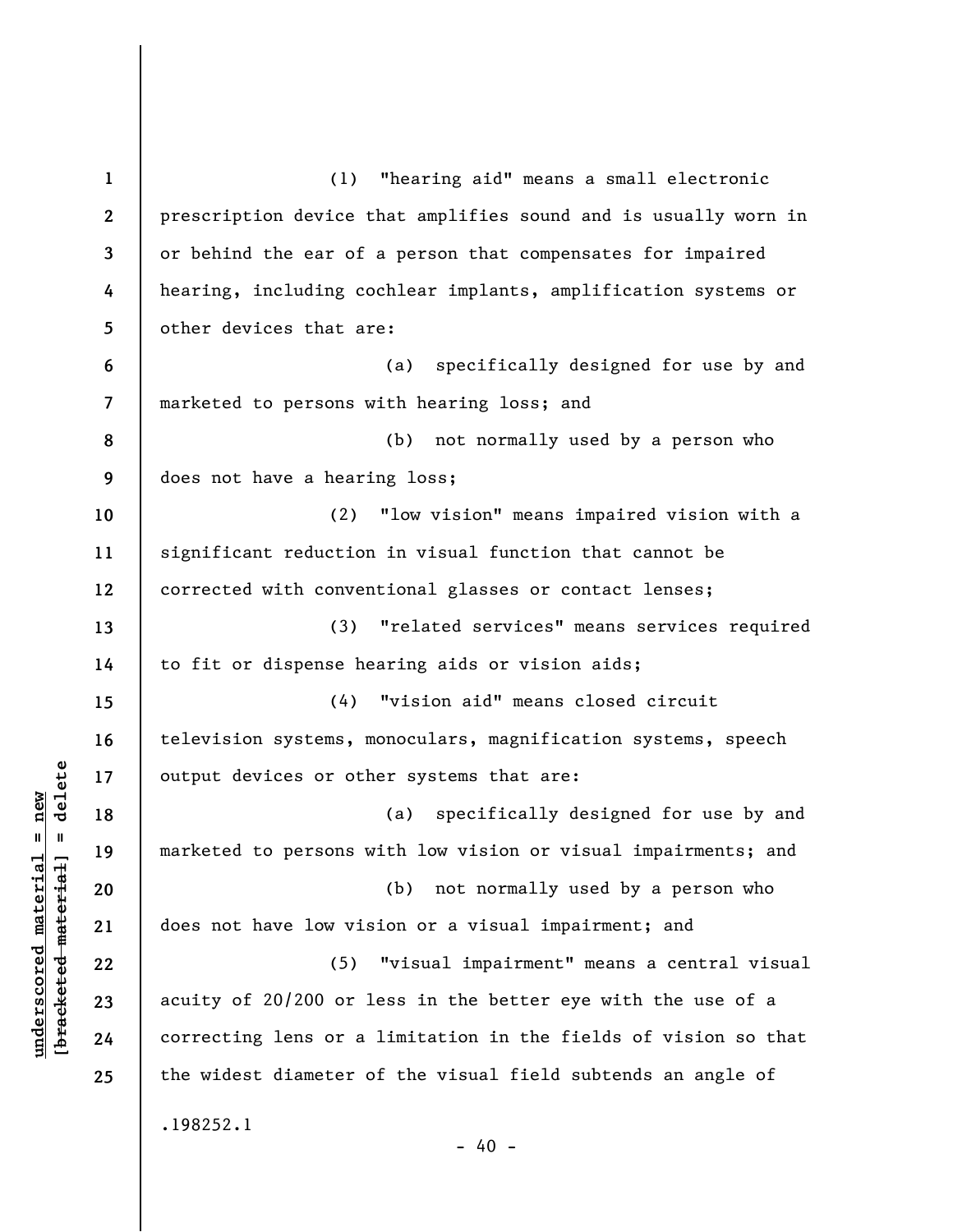**1 2 3 4 5 6 7 8 9 10 11 12 13 14 15 16 17 18 19 20 21 22 23 24 25**  (1) "hearing aid" means a small electronic prescription device that amplifies sound and is usually worn in or behind the ear of a person that compensates for impaired hearing, including cochlear implants, amplification systems or other devices that are: (a) specifically designed for use by and marketed to persons with hearing loss; and (b) not normally used by a person who does not have a hearing loss; (2) "low vision" means impaired vision with a significant reduction in visual function that cannot be corrected with conventional glasses or contact lenses; (3) "related services" means services required to fit or dispense hearing aids or vision aids; (4) "vision aid" means closed circuit television systems, monoculars, magnification systems, speech output devices or other systems that are: (a) specifically designed for use by and marketed to persons with low vision or visual impairments; and (b) not normally used by a person who does not have low vision or a visual impairment; and (5) "visual impairment" means a central visual acuity of 20/200 or less in the better eye with the use of a correcting lens or a limitation in the fields of vision so that the widest diameter of the visual field subtends an angle of .198252.1  $- 40 -$ 

**underscored material = new [bracketed material] = delete**

 $\frac{1}{2}$  of  $\frac{1}{2}$  and  $\frac{1}{2}$  and  $\frac{1}{2}$  and  $\frac{1}{2}$  and  $\frac{1}{2}$  and  $\frac{1}{2}$  and  $\frac{1}{2}$  and  $\frac{1}{2}$  and  $\frac{1}{2}$  and  $\frac{1}{2}$  and  $\frac{1}{2}$  and  $\frac{1}{2}$  and  $\frac{1}{2}$  and  $\frac{1}{2}$  and  $\frac{1}{2}$  an  $underscored material = new$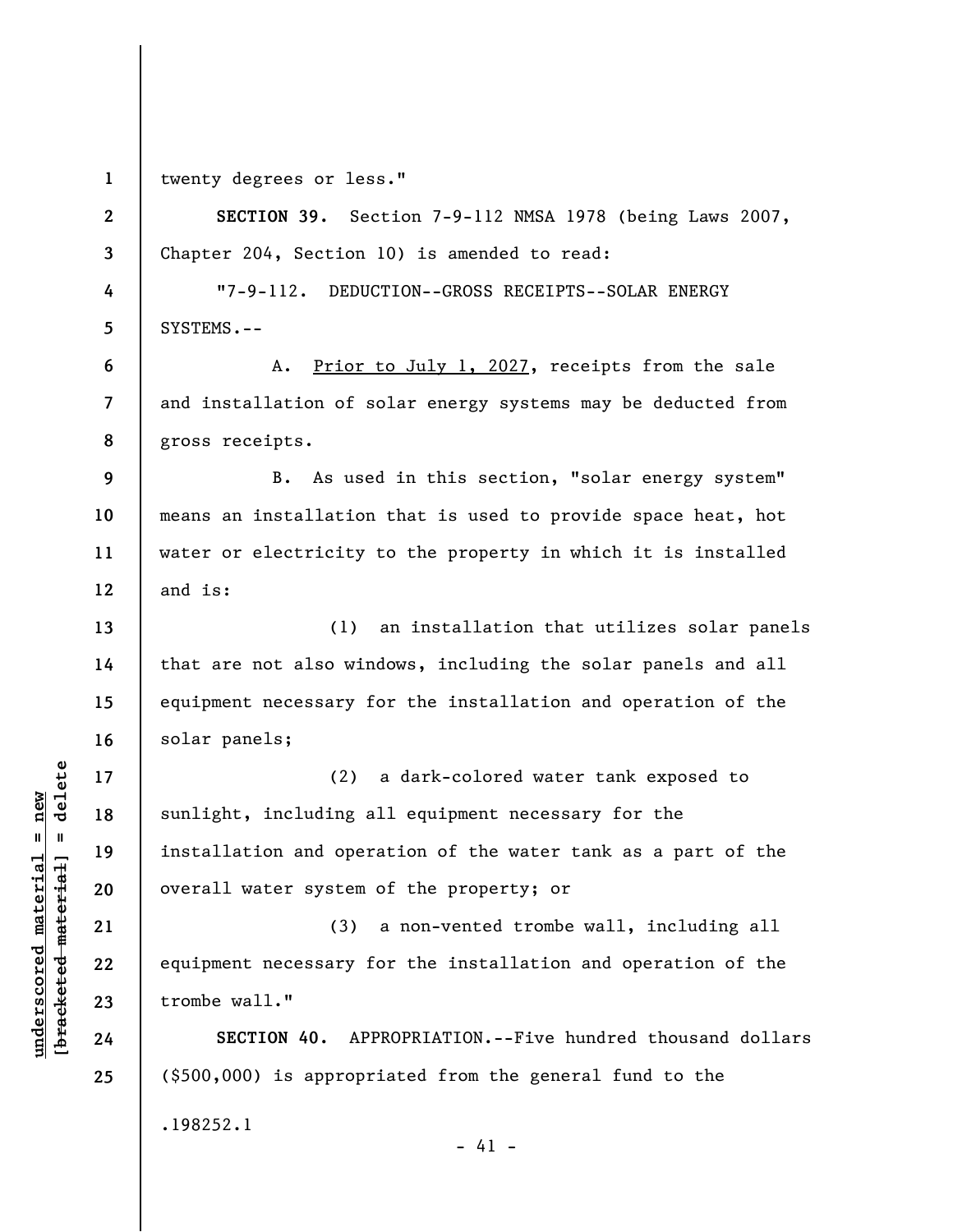**1 2** 

**3** 

**4** 

**5** 

**6** 

**7** 

**8** 

**13** 

**14** 

**15** 

**16** 

**17** 

**18** 

**19** 

**20** 

**21** 

**22** 

**23** 

**24** 

**25** 

twenty degrees or less."

**SECTION 39.** Section 7-9-112 NMSA 1978 (being Laws 2007, Chapter 204, Section 10) is amended to read: "7-9-112. DEDUCTION--GROSS RECEIPTS--SOLAR ENERGY SYSTEMS.-- A. Prior to July 1, 2027, receipts from the sale

and installation of solar energy systems may be deducted from gross receipts.

**9 10 11 12**  B. As used in this section, "solar energy system" means an installation that is used to provide space heat, hot water or electricity to the property in which it is installed and is:

(1) an installation that utilizes solar panels that are not also windows, including the solar panels and all equipment necessary for the installation and operation of the solar panels;

(2) a dark-colored water tank exposed to sunlight, including all equipment necessary for the installation and operation of the water tank as a part of the overall water system of the property; or

(3) a non-vented trombe wall, including all equipment necessary for the installation and operation of the trombe wall."

**SECTION 40.** APPROPRIATION.--Five hundred thousand dollars (\$500,000) is appropriated from the general fund to the .198252.1  $- 41 -$ 

 $\frac{1}{2}$  intereted material = delete **[bracketed material] = delete**  $underscored material = new$ **underscored material = new**